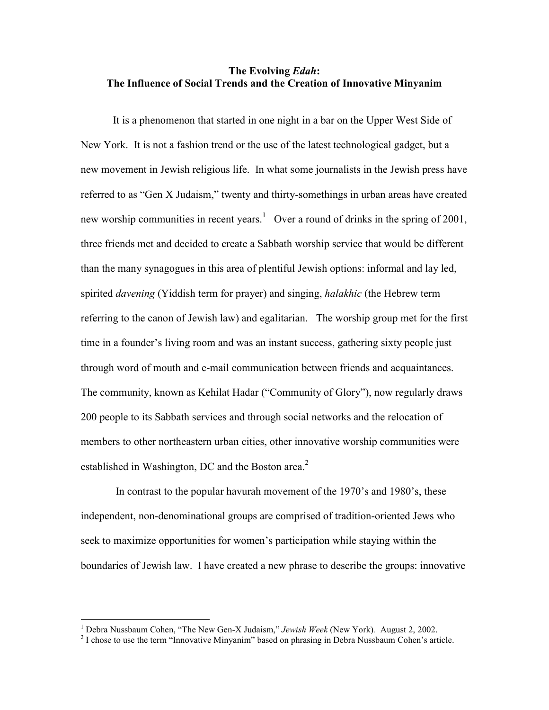# **The Evolving** *Edah***: The Influence of Social Trends and the Creation of Innovative Minyanim**

It is a phenomenon that started in one night in a bar on the Upper West Side of New York. It is not a fashion trend or the use of the latest technological gadget, but a new movement in Jewish religious life. In what some journalists in the Jewish press have referred to as "Gen X Judaism," twenty and thirty-somethings in urban areas have created new worship communities in recent years.<sup>1</sup> Over a round of drinks in the spring of 2001, three friends met and decided to create a Sabbath worship service that would be different than the many synagogues in this area of plentiful Jewish options: informal and lay led, spirited *davening* (Yiddish term for prayer) and singing, *halakhic* (the Hebrew term referring to the canon of Jewish law) and egalitarian. The worship group met for the first time in a founder's living room and was an instant success, gathering sixty people just through word of mouth and e-mail communication between friends and acquaintances. The community, known as Kehilat Hadar ("Community of Glory"), now regularly draws 200 people to its Sabbath services and through social networks and the relocation of members to other northeastern urban cities, other innovative worship communities were established in Washington, DC and the Boston area.<sup>2</sup>

In contrast to the popular havurah movement of the 1970's and 1980's, these independent, non-denominational groups are comprised of tradition-oriented Jews who seek to maximize opportunities for women's participation while staying within the boundaries of Jewish law. I have created a new phrase to describe the groups: innovative

 1 Debra Nussbaum Cohen, "The New Gen-X Judaism," *Jewish Week* (New York)*.* August 2, 2002.

 $2^{2}$  I chose to use the term "Innovative Minyanim" based on phrasing in Debra Nussbaum Cohen's article.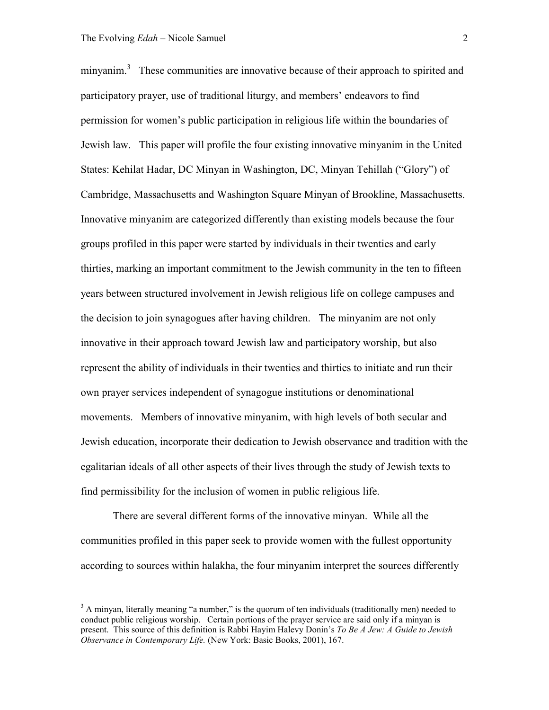$\overline{a}$ 

minyanim.<sup>3</sup> These communities are innovative because of their approach to spirited and participatory prayer, use of traditional liturgy, and members' endeavors to find permission for women's public participation in religious life within the boundaries of Jewish law. This paper will profile the four existing innovative minyanim in the United States: Kehilat Hadar, DC Minyan in Washington, DC, Minyan Tehillah ("Glory") of Cambridge, Massachusetts and Washington Square Minyan of Brookline, Massachusetts. Innovative minyanim are categorized differently than existing models because the four groups profiled in this paper were started by individuals in their twenties and early thirties, marking an important commitment to the Jewish community in the ten to fifteen years between structured involvement in Jewish religious life on college campuses and the decision to join synagogues after having children. The minyanim are not only innovative in their approach toward Jewish law and participatory worship, but also represent the ability of individuals in their twenties and thirties to initiate and run their own prayer services independent of synagogue institutions or denominational movements. Members of innovative minyanim, with high levels of both secular and Jewish education, incorporate their dedication to Jewish observance and tradition with the egalitarian ideals of all other aspects of their lives through the study of Jewish texts to find permissibility for the inclusion of women in public religious life.

There are several different forms of the innovative minyan. While all the communities profiled in this paper seek to provide women with the fullest opportunity according to sources within halakha, the four minyanim interpret the sources differently

 $3$  A minyan, literally meaning "a number," is the quorum of ten individuals (traditionally men) needed to conduct public religious worship. Certain portions of the prayer service are said only if a minyan is present. This source of this definition is Rabbi Hayim Halevy Donin's *To Be A Jew: A Guide to Jewish Observance in Contemporary Life.* (New York: Basic Books, 2001), 167.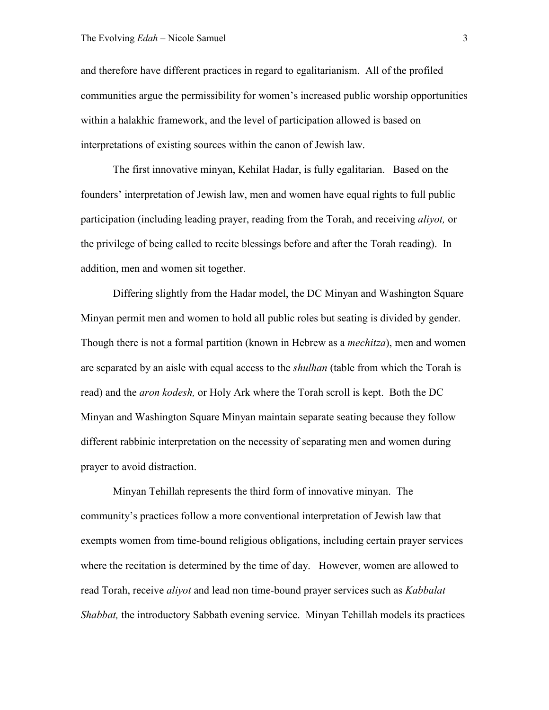and therefore have different practices in regard to egalitarianism. All of the profiled communities argue the permissibility for women's increased public worship opportunities within a halakhic framework, and the level of participation allowed is based on interpretations of existing sources within the canon of Jewish law.

The first innovative minyan, Kehilat Hadar, is fully egalitarian. Based on the founders' interpretation of Jewish law, men and women have equal rights to full public participation (including leading prayer, reading from the Torah, and receiving *aliyot,* or the privilege of being called to recite blessings before and after the Torah reading). In addition, men and women sit together.

Differing slightly from the Hadar model, the DC Minyan and Washington Square Minyan permit men and women to hold all public roles but seating is divided by gender. Though there is not a formal partition (known in Hebrew as a *mechitza*), men and women are separated by an aisle with equal access to the *shulhan* (table from which the Torah is read) and the *aron kodesh,* or Holy Ark where the Torah scroll is kept. Both the DC Minyan and Washington Square Minyan maintain separate seating because they follow different rabbinic interpretation on the necessity of separating men and women during prayer to avoid distraction.

Minyan Tehillah represents the third form of innovative minyan. The community's practices follow a more conventional interpretation of Jewish law that exempts women from time-bound religious obligations, including certain prayer services where the recitation is determined by the time of day. However, women are allowed to read Torah, receive *aliyot* and lead non time-bound prayer services such as *Kabbalat Shabbat*, the introductory Sabbath evening service. Minyan Tehillah models its practices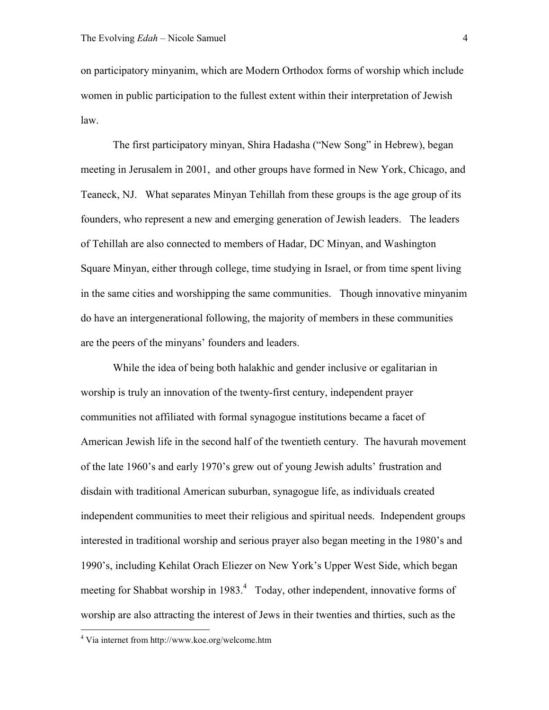on participatory minyanim, which are Modern Orthodox forms of worship which include women in public participation to the fullest extent within their interpretation of Jewish law.

The first participatory minyan, Shira Hadasha ("New Song" in Hebrew), began meeting in Jerusalem in 2001, and other groups have formed in New York, Chicago, and Teaneck, NJ. What separates Minyan Tehillah from these groups is the age group of its founders, who represent a new and emerging generation of Jewish leaders. The leaders of Tehillah are also connected to members of Hadar, DC Minyan, and Washington Square Minyan, either through college, time studying in Israel, or from time spent living in the same cities and worshipping the same communities. Though innovative minyanim do have an intergenerational following, the majority of members in these communities are the peers of the minyans' founders and leaders.

While the idea of being both halakhic and gender inclusive or egalitarian in worship is truly an innovation of the twenty-first century, independent prayer communities not affiliated with formal synagogue institutions became a facet of American Jewish life in the second half of the twentieth century. The havurah movement of the late 1960's and early 1970's grew out of young Jewish adults' frustration and disdain with traditional American suburban, synagogue life, as individuals created independent communities to meet their religious and spiritual needs. Independent groups interested in traditional worship and serious prayer also began meeting in the 1980's and 1990's, including Kehilat Orach Eliezer on New York's Upper West Side, which began meeting for Shabbat worship in 1983.<sup>4</sup> Today, other independent, innovative forms of worship are also attracting the interest of Jews in their twenties and thirties, such as the

<sup>4</sup> Via internet from http://www.koe.org/welcome.htm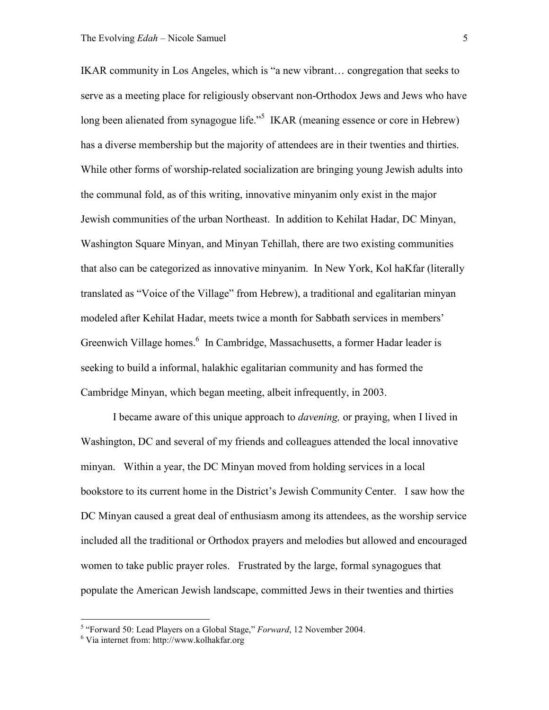IKAR community in Los Angeles, which is "a new vibrant… congregation that seeks to serve as a meeting place for religiously observant non-Orthodox Jews and Jews who have long been alienated from synagogue life."<sup>5</sup> IKAR (meaning essence or core in Hebrew) has a diverse membership but the majority of attendees are in their twenties and thirties. While other forms of worship-related socialization are bringing young Jewish adults into the communal fold, as of this writing, innovative minyanim only exist in the major Jewish communities of the urban Northeast. In addition to Kehilat Hadar, DC Minyan, Washington Square Minyan, and Minyan Tehillah, there are two existing communities that also can be categorized as innovative minyanim. In New York, Kol haKfar (literally translated as "Voice of the Village" from Hebrew), a traditional and egalitarian minyan modeled after Kehilat Hadar, meets twice a month for Sabbath services in members' Greenwich Village homes.<sup>6</sup> In Cambridge, Massachusetts, a former Hadar leader is seeking to build a informal, halakhic egalitarian community and has formed the Cambridge Minyan, which began meeting, albeit infrequently, in 2003.

I became aware of this unique approach to *davening,* or praying, when I lived in Washington, DC and several of my friends and colleagues attended the local innovative minyan. Within a year, the DC Minyan moved from holding services in a local bookstore to its current home in the District's Jewish Community Center. I saw how the DC Minyan caused a great deal of enthusiasm among its attendees, as the worship service included all the traditional or Orthodox prayers and melodies but allowed and encouraged women to take public prayer roles. Frustrated by the large, formal synagogues that populate the American Jewish landscape, committed Jews in their twenties and thirties

 5 "Forward 50: Lead Players on a Global Stage," *Forward*, 12 November 2004.

<sup>6</sup> Via internet from: http://www.kolhakfar.org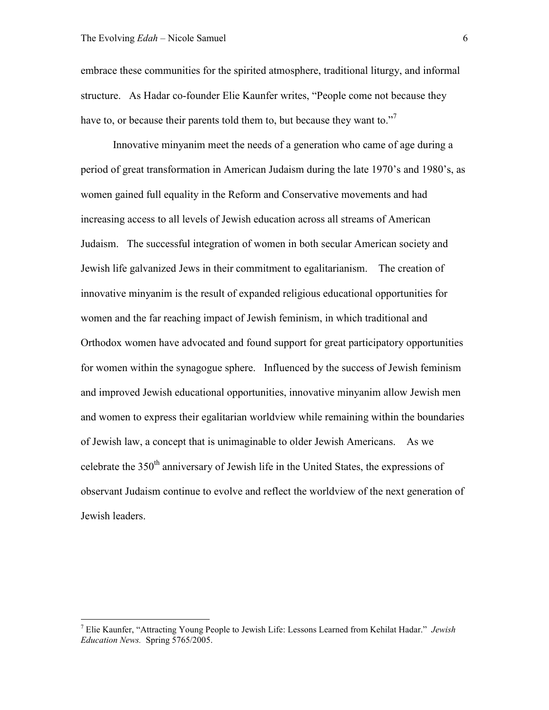embrace these communities for the spirited atmosphere, traditional liturgy, and informal structure. As Hadar co-founder Elie Kaunfer writes, "People come not because they have to, or because their parents told them to, but because they want to."<sup>7</sup>

Innovative minyanim meet the needs of a generation who came of age during a period of great transformation in American Judaism during the late 1970's and 1980's, as women gained full equality in the Reform and Conservative movements and had increasing access to all levels of Jewish education across all streams of American Judaism. The successful integration of women in both secular American society and Jewish life galvanized Jews in their commitment to egalitarianism. The creation of innovative minyanim is the result of expanded religious educational opportunities for women and the far reaching impact of Jewish feminism, in which traditional and Orthodox women have advocated and found support for great participatory opportunities for women within the synagogue sphere. Influenced by the success of Jewish feminism and improved Jewish educational opportunities, innovative minyanim allow Jewish men and women to express their egalitarian worldview while remaining within the boundaries of Jewish law, a concept that is unimaginable to older Jewish Americans. As we celebrate the 350<sup>th</sup> anniversary of Jewish life in the United States, the expressions of observant Judaism continue to evolve and reflect the worldview of the next generation of Jewish leaders.

 7 Elie Kaunfer, "Attracting Young People to Jewish Life: Lessons Learned from Kehilat Hadar." *Jewish Education News.* Spring 5765/2005.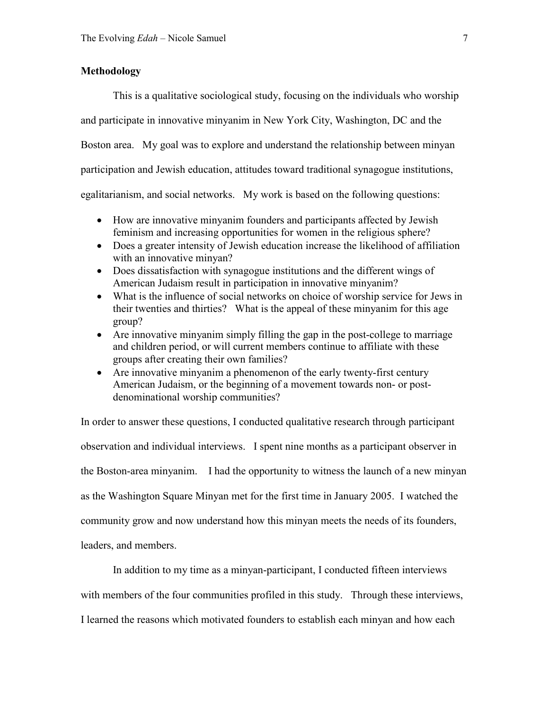## **Methodology**

 This is a qualitative sociological study, focusing on the individuals who worship and participate in innovative minyanim in New York City, Washington, DC and the Boston area. My goal was to explore and understand the relationship between minyan participation and Jewish education, attitudes toward traditional synagogue institutions, egalitarianism, and social networks. My work is based on the following questions:

- How are innovative minyanim founders and participants affected by Jewish feminism and increasing opportunities for women in the religious sphere?
- Does a greater intensity of Jewish education increase the likelihood of affiliation with an innovative minyan?
- Does dissatisfaction with synagogue institutions and the different wings of American Judaism result in participation in innovative minyanim?
- What is the influence of social networks on choice of worship service for Jews in their twenties and thirties? What is the appeal of these minyanim for this age group?
- Are innovative minyanim simply filling the gap in the post-college to marriage and children period, or will current members continue to affiliate with these groups after creating their own families?
- Are innovative minyanim a phenomenon of the early twenty-first century American Judaism, or the beginning of a movement towards non- or postdenominational worship communities?

In order to answer these questions, I conducted qualitative research through participant observation and individual interviews. I spent nine months as a participant observer in the Boston-area minyanim. I had the opportunity to witness the launch of a new minyan as the Washington Square Minyan met for the first time in January 2005. I watched the community grow and now understand how this minyan meets the needs of its founders, leaders, and members.

In addition to my time as a minyan-participant, I conducted fifteen interviews

with members of the four communities profiled in this study. Through these interviews,

I learned the reasons which motivated founders to establish each minyan and how each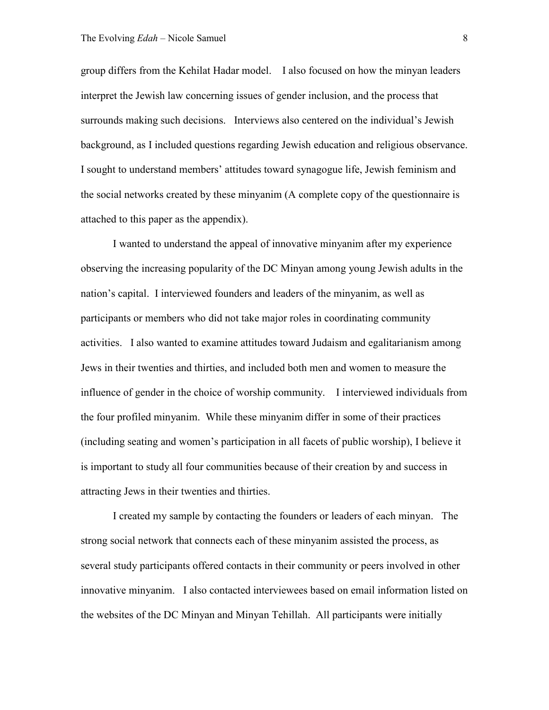group differs from the Kehilat Hadar model. I also focused on how the minyan leaders interpret the Jewish law concerning issues of gender inclusion, and the process that surrounds making such decisions. Interviews also centered on the individual's Jewish background, as I included questions regarding Jewish education and religious observance. I sought to understand members' attitudes toward synagogue life, Jewish feminism and the social networks created by these minyanim (A complete copy of the questionnaire is attached to this paper as the appendix).

I wanted to understand the appeal of innovative minyanim after my experience observing the increasing popularity of the DC Minyan among young Jewish adults in the nation's capital. I interviewed founders and leaders of the minyanim, as well as participants or members who did not take major roles in coordinating community activities. I also wanted to examine attitudes toward Judaism and egalitarianism among Jews in their twenties and thirties, and included both men and women to measure the influence of gender in the choice of worship community. I interviewed individuals from the four profiled minyanim. While these minyanim differ in some of their practices (including seating and women's participation in all facets of public worship), I believe it is important to study all four communities because of their creation by and success in attracting Jews in their twenties and thirties.

I created my sample by contacting the founders or leaders of each minyan. The strong social network that connects each of these minyanim assisted the process, as several study participants offered contacts in their community or peers involved in other innovative minyanim. I also contacted interviewees based on email information listed on the websites of the DC Minyan and Minyan Tehillah. All participants were initially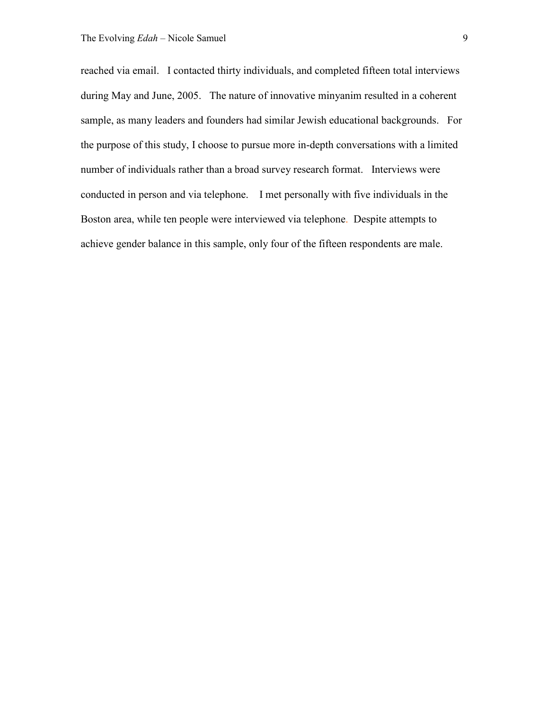reached via email. I contacted thirty individuals, and completed fifteen total interviews during May and June, 2005. The nature of innovative minyanim resulted in a coherent sample, as many leaders and founders had similar Jewish educational backgrounds. For the purpose of this study, I choose to pursue more in-depth conversations with a limited number of individuals rather than a broad survey research format. Interviews were conducted in person and via telephone. I met personally with five individuals in the Boston area, while ten people were interviewed via telephone. Despite attempts to achieve gender balance in this sample, only four of the fifteen respondents are male.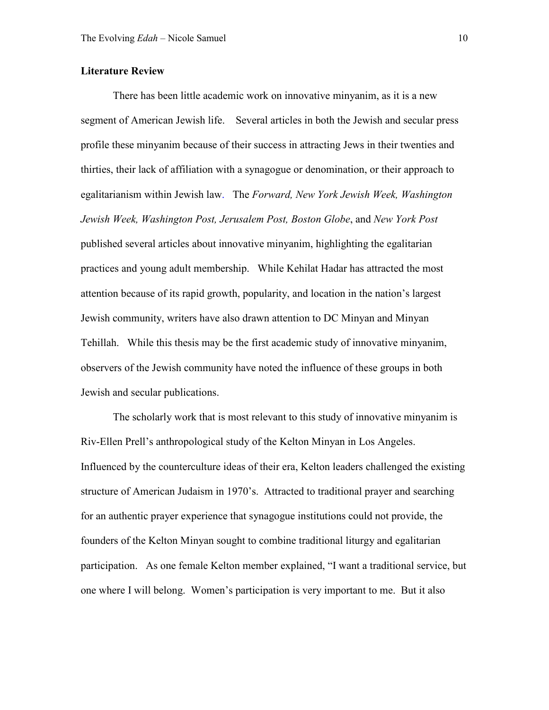## **Literature Review**

There has been little academic work on innovative minyanim, as it is a new segment of American Jewish life. Several articles in both the Jewish and secular press profile these minyanim because of their success in attracting Jews in their twenties and thirties, their lack of affiliation with a synagogue or denomination, or their approach to egalitarianism within Jewish law. The Forward, New York Jewish Week, Washington *Jewish Week, Washington Post, Jerusalem Post, Boston Globe, and New York Post* published several articles about innovative minyanim, highlighting the egalitarian practices and young adult membership. While Kehilat Hadar has attracted the most attention because of its rapid growth, popularity, and location in the nation's largest Jewish community, writers have also drawn attention to DC Minyan and Minyan Tehillah. While this thesis may be the first academic study of innovative minyanim, observers of the Jewish community have noted the influence of these groups in both Jewish and secular publications.

The scholarly work that is most relevant to this study of innovative minyanim is Riv-Ellen Prell's anthropological study of the Kelton Minyan in Los Angeles. Influenced by the counterculture ideas of their era, Kelton leaders challenged the existing structure of American Judaism in 1970's. Attracted to traditional prayer and searching for an authentic prayer experience that synagogue institutions could not provide, the founders of the Kelton Minyan sought to combine traditional liturgy and egalitarian participation. As one female Kelton member explained, "I want a traditional service, but one where I will belong. Women's participation is very important to me. But it also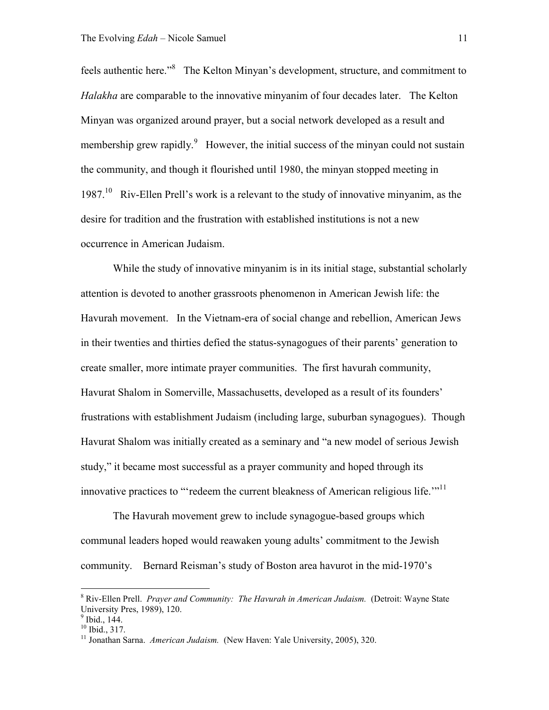feels authentic here."<sup>8</sup> The Kelton Minyan's development, structure, and commitment to *Halakha* are comparable to the innovative minyanim of four decades later. The Kelton Minyan was organized around prayer, but a social network developed as a result and membership grew rapidly.<sup>9</sup> However, the initial success of the minyan could not sustain the community, and though it flourished until 1980, the minyan stopped meeting in 1987.<sup>10</sup> Riv-Ellen Prell's work is a relevant to the study of innovative minyanim, as the desire for tradition and the frustration with established institutions is not a new occurrence in American Judaism.

While the study of innovative minyanim is in its initial stage, substantial scholarly attention is devoted to another grassroots phenomenon in American Jewish life: the Havurah movement. In the Vietnam-era of social change and rebellion, American Jews in their twenties and thirties defied the status-synagogues of their parents' generation to create smaller, more intimate prayer communities. The first havurah community, Havurat Shalom in Somerville, Massachusetts, developed as a result of its founders' frustrations with establishment Judaism (including large, suburban synagogues). Though Havurat Shalom was initially created as a seminary and "a new model of serious Jewish study," it became most successful as a prayer community and hoped through its innovative practices to "'redeem the current bleakness of American religious life."<sup>11</sup>

 The Havurah movement grew to include synagogue-based groups which communal leaders hoped would reawaken young adults' commitment to the Jewish community. Bernard Reisman's study of Boston area havurot in the mid-1970's

<sup>&</sup>lt;sup>8</sup> Riv-Ellen Prell. *Prayer and Community: The Havurah in American Judaism.* (Detroit: Wayne State University Pres, 1989), 120.

<sup>&</sup>lt;sup>9</sup> Ibid., 144.

 $10$  Ibid., 317.

<sup>11</sup> Jonathan Sarna. *American Judaism.* (New Haven: Yale University, 2005), 320.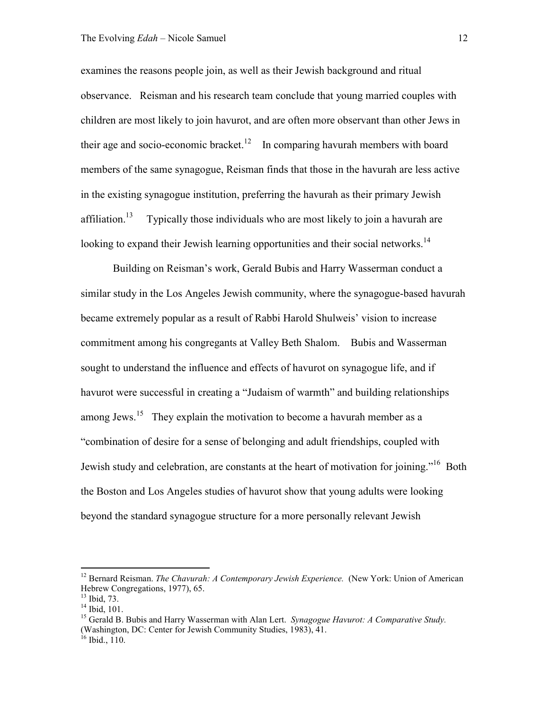#### The Evolving *Edah* – Nicole Samuel 12

examines the reasons people join, as well as their Jewish background and ritual observance. Reisman and his research team conclude that young married couples with children are most likely to join havurot, and are often more observant than other Jews in their age and socio-economic bracket.<sup>12</sup> In comparing havurah members with board members of the same synagogue, Reisman finds that those in the havurah are less active in the existing synagogue institution, preferring the havurah as their primary Jewish affiliation.<sup>13</sup> Typically those individuals who are most likely to join a havurah are looking to expand their Jewish learning opportunities and their social networks.<sup>14</sup>

Building on Reisman's work, Gerald Bubis and Harry Wasserman conduct a similar study in the Los Angeles Jewish community, where the synagogue-based havurah became extremely popular as a result of Rabbi Harold Shulweis' vision to increase commitment among his congregants at Valley Beth Shalom. Bubis and Wasserman sought to understand the influence and effects of havurot on synagogue life, and if havurot were successful in creating a "Judaism of warmth" and building relationships among Jews.<sup>15</sup> They explain the motivation to become a havurah member as a "combination of desire for a sense of belonging and adult friendships, coupled with Jewish study and celebration, are constants at the heart of motivation for joining."<sup>16</sup> Both the Boston and Los Angeles studies of havurot show that young adults were looking beyond the standard synagogue structure for a more personally relevant Jewish

<sup>&</sup>lt;sup>12</sup> Bernard Reisman. *The Chavurah: A Contemporary Jewish Experience*. (New York: Union of American Hebrew Congregations, 1977), 65.

 $13$  Ibid, 73.

 $14$  Ibid, 101.

<sup>15</sup> Gerald B. Bubis and Harry Wasserman with Alan Lert. *Synagogue Havurot: A Comparative Study.*  (Washington, DC: Center for Jewish Community Studies, 1983), 41.

 $16$  Ibid., 110.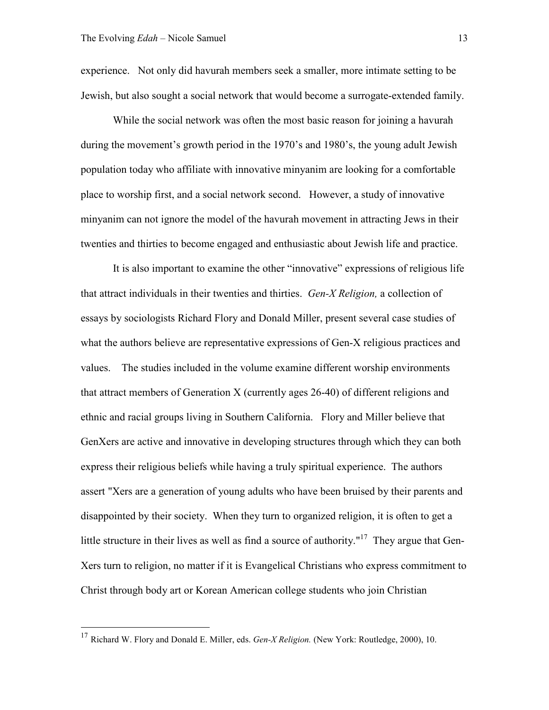experience. Not only did havurah members seek a smaller, more intimate setting to be Jewish, but also sought a social network that would become a surrogate-extended family.

While the social network was often the most basic reason for joining a havurah during the movement's growth period in the 1970's and 1980's, the young adult Jewish population today who affiliate with innovative minyanim are looking for a comfortable place to worship first, and a social network second. However, a study of innovative minyanim can not ignore the model of the havurah movement in attracting Jews in their twenties and thirties to become engaged and enthusiastic about Jewish life and practice.

It is also important to examine the other "innovative" expressions of religious life that attract individuals in their twenties and thirties. *Gen-X Religion,* a collection of essays by sociologists Richard Flory and Donald Miller, present several case studies of what the authors believe are representative expressions of Gen-X religious practices and values. The studies included in the volume examine different worship environments that attract members of Generation X (currently ages 26-40) of different religions and ethnic and racial groups living in Southern California. Flory and Miller believe that GenXers are active and innovative in developing structures through which they can both express their religious beliefs while having a truly spiritual experience. The authors assert "Xers are a generation of young adults who have been bruised by their parents and disappointed by their society. When they turn to organized religion, it is often to get a little structure in their lives as well as find a source of authority."<sup>17</sup> They argue that Gen-Xers turn to religion, no matter if it is Evangelical Christians who express commitment to Christ through body art or Korean American college students who join Christian

<sup>17</sup> Richard W. Flory and Donald E. Miller, eds. *Gen-X Religion.* (New York: Routledge, 2000), 10.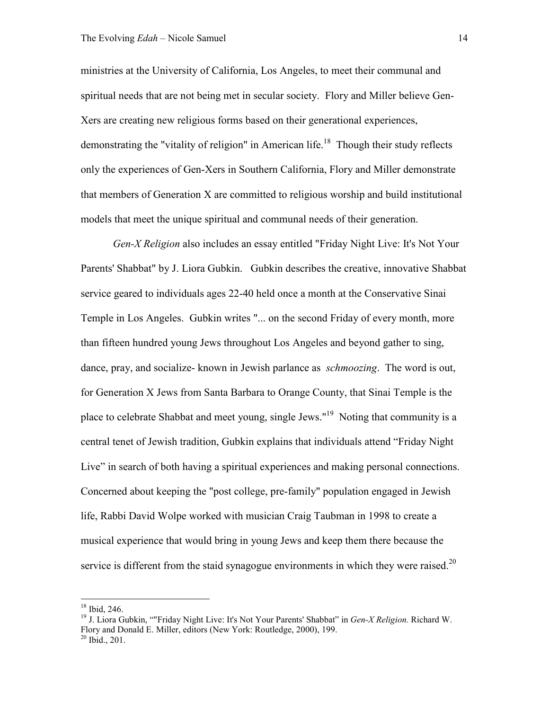ministries at the University of California, Los Angeles, to meet their communal and spiritual needs that are not being met in secular society. Flory and Miller believe Gen-Xers are creating new religious forms based on their generational experiences, demonstrating the "vitality of religion" in American life.<sup>18</sup> Though their study reflects only the experiences of Gen-Xers in Southern California, Flory and Miller demonstrate that members of Generation X are committed to religious worship and build institutional models that meet the unique spiritual and communal needs of their generation.

*Gen-X Religion* also includes an essay entitled "Friday Night Live: It's Not Your Parents' Shabbat" by J. Liora Gubkin. Gubkin describes the creative, innovative Shabbat service geared to individuals ages 22-40 held once a month at the Conservative Sinai Temple in Los Angeles. Gubkin writes "... on the second Friday of every month, more than fifteen hundred young Jews throughout Los Angeles and beyond gather to sing, dance, pray, and socialize- known in Jewish parlance as *schmoozing*. The word is out, for Generation X Jews from Santa Barbara to Orange County, that Sinai Temple is the place to celebrate Shabbat and meet young, single Jews."<sup>19</sup> Noting that community is a central tenet of Jewish tradition, Gubkin explains that individuals attend "Friday Night Live" in search of both having a spiritual experiences and making personal connections. Concerned about keeping the "post college, pre-family" population engaged in Jewish life, Rabbi David Wolpe worked with musician Craig Taubman in 1998 to create a musical experience that would bring in young Jews and keep them there because the service is different from the staid synagogue environments in which they were raised.<sup>20</sup>

 $18$  Ibid, 246.

<sup>19</sup> J. Liora Gubkin, ""Friday Night Live: It's Not Your Parents' Shabbat" in *Gen-X Religion.* Richard W. Flory and Donald E. Miller, editors (New York: Routledge, 2000), 199.  $^{20}$  Ibid., 201.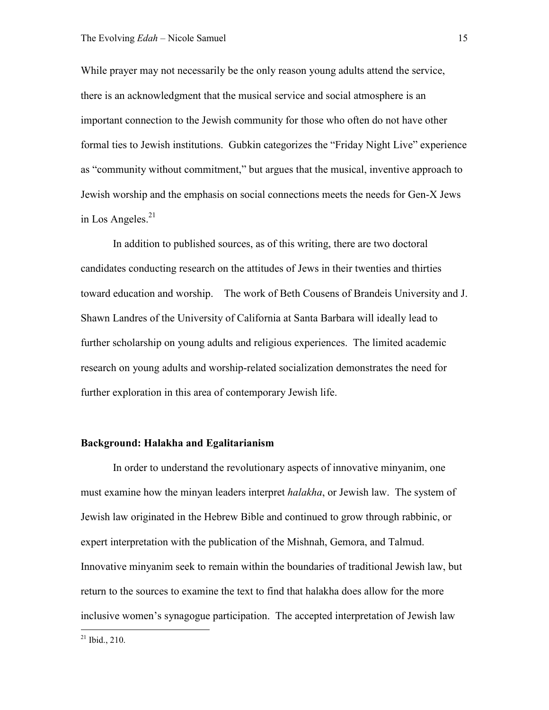While prayer may not necessarily be the only reason young adults attend the service, there is an acknowledgment that the musical service and social atmosphere is an important connection to the Jewish community for those who often do not have other formal ties to Jewish institutions. Gubkin categorizes the "Friday Night Live" experience as "community without commitment," but argues that the musical, inventive approach to Jewish worship and the emphasis on social connections meets the needs for Gen-X Jews in Los Angeles.<sup>21</sup>

In addition to published sources, as of this writing, there are two doctoral candidates conducting research on the attitudes of Jews in their twenties and thirties toward education and worship. The work of Beth Cousens of Brandeis University and J. Shawn Landres of the University of California at Santa Barbara will ideally lead to further scholarship on young adults and religious experiences. The limited academic research on young adults and worship-related socialization demonstrates the need for further exploration in this area of contemporary Jewish life.

### **Background: Halakha and Egalitarianism**

In order to understand the revolutionary aspects of innovative minyanim, one must examine how the minyan leaders interpret *halakha*, or Jewish law. The system of Jewish law originated in the Hebrew Bible and continued to grow through rabbinic, or expert interpretation with the publication of the Mishnah, Gemora, and Talmud. Innovative minyanim seek to remain within the boundaries of traditional Jewish law, but return to the sources to examine the text to find that halakha does allow for the more inclusive women's synagogue participation. The accepted interpretation of Jewish law

 $21$  Ibid., 210.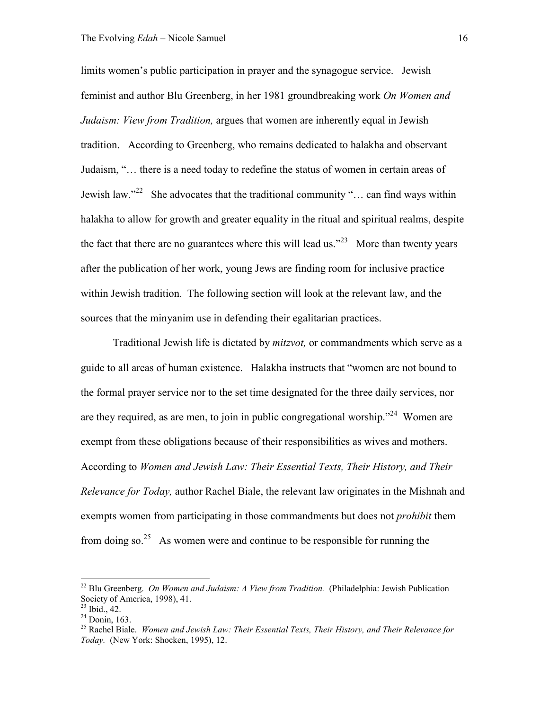limits women's public participation in prayer and the synagogue service. Jewish feminist and author Blu Greenberg, in her 1981 groundbreaking work *On Women and Judaism: View from Tradition,* argues that women are inherently equal in Jewish tradition. According to Greenberg, who remains dedicated to halakha and observant Judaism, "… there is a need today to redefine the status of women in certain areas of Jewish law."<sup>22</sup> She advocates that the traditional community "... can find ways within halakha to allow for growth and greater equality in the ritual and spiritual realms, despite the fact that there are no guarantees where this will lead us."<sup>23</sup> More than twenty years after the publication of her work, young Jews are finding room for inclusive practice within Jewish tradition. The following section will look at the relevant law, and the sources that the minyanim use in defending their egalitarian practices.

Traditional Jewish life is dictated by *mitzvot,* or commandments which serve as a guide to all areas of human existence. Halakha instructs that "women are not bound to the formal prayer service nor to the set time designated for the three daily services, nor are they required, as are men, to join in public congregational worship."<sup>24</sup> Women are exempt from these obligations because of their responsibilities as wives and mothers. According to *Women and Jewish Law: Their Essential Texts, Their History, and Their Relevance for Today,* author Rachel Biale, the relevant law originates in the Mishnah and exempts women from participating in those commandments but does not *prohibit* them from doing so.<sup>25</sup> As women were and continue to be responsible for running the

<sup>22</sup> Blu Greenberg. *On Women and Judaism: A View from Tradition.* (Philadelphia: Jewish Publication Society of America, 1998), 41.

 $^{23}$  Ibid., 42.

<sup>24</sup> Donin, 163.

<sup>25</sup> Rachel Biale. *Women and Jewish Law: Their Essential Texts, Their History, and Their Relevance for Today.* (New York: Shocken, 1995), 12.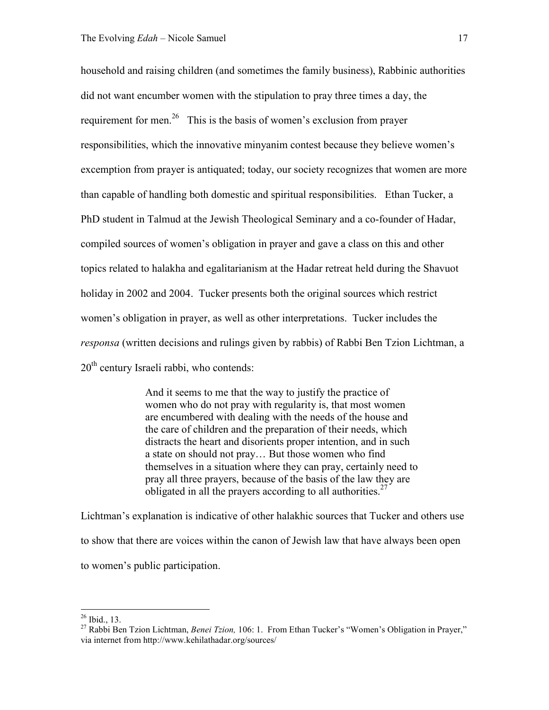household and raising children (and sometimes the family business), Rabbinic authorities did not want encumber women with the stipulation to pray three times a day, the requirement for men.<sup>26</sup> This is the basis of women's exclusion from prayer responsibilities, which the innovative minyanim contest because they believe women's excemption from prayer is antiquated; today, our society recognizes that women are more than capable of handling both domestic and spiritual responsibilities. Ethan Tucker, a PhD student in Talmud at the Jewish Theological Seminary and a co-founder of Hadar, compiled sources of women's obligation in prayer and gave a class on this and other topics related to halakha and egalitarianism at the Hadar retreat held during the Shavuot holiday in 2002 and 2004. Tucker presents both the original sources which restrict women's obligation in prayer, as well as other interpretations. Tucker includes the *responsa* (written decisions and rulings given by rabbis) of Rabbi Ben Tzion Lichtman, a  $20<sup>th</sup>$  century Israeli rabbi, who contends:

> And it seems to me that the way to justify the practice of women who do not pray with regularity is, that most women are encumbered with dealing with the needs of the house and the care of children and the preparation of their needs, which distracts the heart and disorients proper intention, and in such a state on should not pray… But those women who find themselves in a situation where they can pray, certainly need to pray all three prayers, because of the basis of the law they are obligated in all the prayers according to all authorities.<sup>27</sup>

Lichtman's explanation is indicative of other halakhic sources that Tucker and others use to show that there are voices within the canon of Jewish law that have always been open to women's public participation.

 $^{26}$  Ibid., 13.

<sup>27</sup> Rabbi Ben Tzion Lichtman, *Benei Tzion,* 106: 1. From Ethan Tucker's "Women's Obligation in Prayer," via internet from http://www.kehilathadar.org/sources/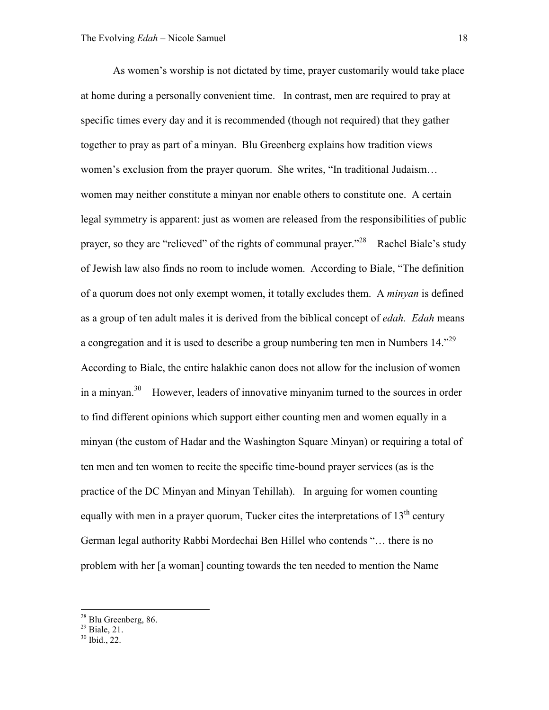As women's worship is not dictated by time, prayer customarily would take place at home during a personally convenient time. In contrast, men are required to pray at specific times every day and it is recommended (though not required) that they gather together to pray as part of a minyan. Blu Greenberg explains how tradition views women's exclusion from the prayer quorum. She writes, "In traditional Judaism… women may neither constitute a minyan nor enable others to constitute one. A certain legal symmetry is apparent: just as women are released from the responsibilities of public prayer, so they are "relieved" of the rights of communal prayer."<sup>28</sup> Rachel Biale's study of Jewish law also finds no room to include women. According to Biale, "The definition of a quorum does not only exempt women, it totally excludes them. A *minyan* is defined as a group of ten adult males it is derived from the biblical concept of *edah. Edah* means a congregation and it is used to describe a group numbering ten men in Numbers 14.<sup>29</sup> According to Biale, the entire halakhic canon does not allow for the inclusion of women in a minyan.<sup>30</sup> However, leaders of innovative minyanim turned to the sources in order to find different opinions which support either counting men and women equally in a minyan (the custom of Hadar and the Washington Square Minyan) or requiring a total of ten men and ten women to recite the specific time-bound prayer services (as is the practice of the DC Minyan and Minyan Tehillah). In arguing for women counting equally with men in a prayer quorum, Tucker cites the interpretations of  $13<sup>th</sup>$  century German legal authority Rabbi Mordechai Ben Hillel who contends "… there is no problem with her [a woman] counting towards the ten needed to mention the Name

<sup>&</sup>lt;sup>28</sup> Blu Greenberg, 86.

 $^{29}$  Biale, 21.

<sup>30</sup> Ibid., 22.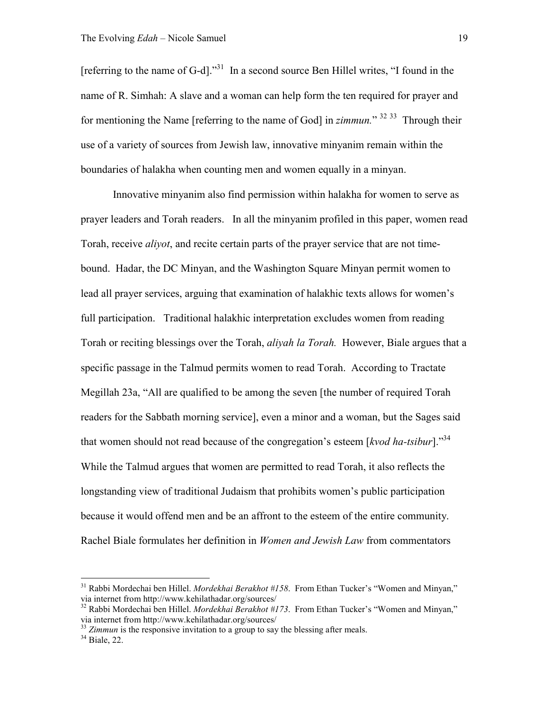[referring to the name of G-d]."<sup>31</sup> In a second source Ben Hillel writes, "I found in the name of R. Simhah: A slave and a woman can help form the ten required for prayer and for mentioning the Name [referring to the name of God] in *zimmun.*" <sup>32</sup> <sup>33</sup> Through their use of a variety of sources from Jewish law, innovative minyanim remain within the boundaries of halakha when counting men and women equally in a minyan.

Innovative minyanim also find permission within halakha for women to serve as prayer leaders and Torah readers. In all the minyanim profiled in this paper, women read Torah, receive *aliyot*, and recite certain parts of the prayer service that are not timebound. Hadar, the DC Minyan, and the Washington Square Minyan permit women to lead all prayer services, arguing that examination of halakhic texts allows for women's full participation. Traditional halakhic interpretation excludes women from reading Torah or reciting blessings over the Torah, *aliyah la Torah.* However, Biale argues that a specific passage in the Talmud permits women to read Torah. According to Tractate Megillah 23a, "All are qualified to be among the seven [the number of required Torah readers for the Sabbath morning service], even a minor and a woman, but the Sages said that women should not read because of the congregation's esteem [*kvod ha-tsibur*]."<sup>34</sup> While the Talmud argues that women are permitted to read Torah, it also reflects the longstanding view of traditional Judaism that prohibits women's public participation because it would offend men and be an affront to the esteem of the entire community. Rachel Biale formulates her definition in *Women and Jewish Law* from commentators

<sup>31</sup> Rabbi Mordechai ben Hillel. *Mordekhai Berakhot #158*. From Ethan Tucker's "Women and Minyan," via internet from http://www.kehilathadar.org/sources/

<sup>32</sup> Rabbi Mordechai ben Hillel. *Mordekhai Berakhot #173*. From Ethan Tucker's "Women and Minyan," via internet from http://www.kehilathadar.org/sources/

<sup>&</sup>lt;sup>33</sup> Zimmun is the responsive invitation to a group to say the blessing after meals.

 $34$  Biale, 22.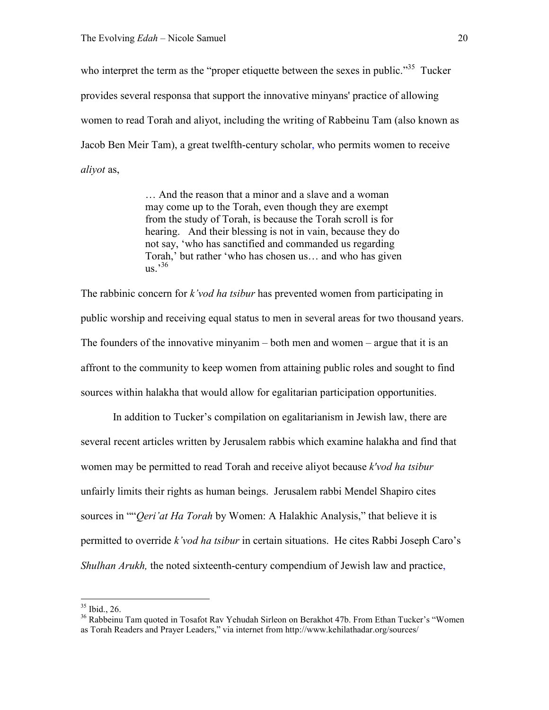who interpret the term as the "proper etiquette between the sexes in public."<sup>35</sup> Tucker provides several responsa that support the innovative minyans' practice of allowing women to read Torah and aliyot, including the writing of Rabbeinu Tam (also known as Jacob Ben Meir Tam), a great twelfth-century scholar, who permits women to receive *aliyot* as,

> … And the reason that a minor and a slave and a woman may come up to the Torah, even though they are exempt from the study of Torah, is because the Torah scroll is for hearing. And their blessing is not in vain, because they do not say, 'who has sanctified and commanded us regarding Torah,' but rather 'who has chosen us… and who has given  $us$ , 36

The rabbinic concern for *k'vod ha tsibur* has prevented women from participating in public worship and receiving equal status to men in several areas for two thousand years. The founders of the innovative minyanim – both men and women – argue that it is an affront to the community to keep women from attaining public roles and sought to find sources within halakha that would allow for egalitarian participation opportunities.

In addition to Tucker's compilation on egalitarianism in Jewish law, there are several recent articles written by Jerusalem rabbis which examine halakha and find that women may be permitted to read Torah and receive aliyot because *k'vod ha tsibur*  unfairly limits their rights as human beings. Jerusalem rabbi Mendel Shapiro cites sources in ""*Qeri'at Ha Torah* by Women: A Halakhic Analysis," that believe it is permitted to override *k'vod ha tsibur* in certain situations. He cites Rabbi Joseph Caro's *Shulhan Arukh,* the noted sixteenth-century compendium of Jewish law and practice,

 $35$  Ibid., 26.

<sup>&</sup>lt;sup>36</sup> Rabbeinu Tam quoted in Tosafot Rav Yehudah Sirleon on Berakhot 47b. From Ethan Tucker's "Women as Torah Readers and Prayer Leaders," via internet from http://www.kehilathadar.org/sources/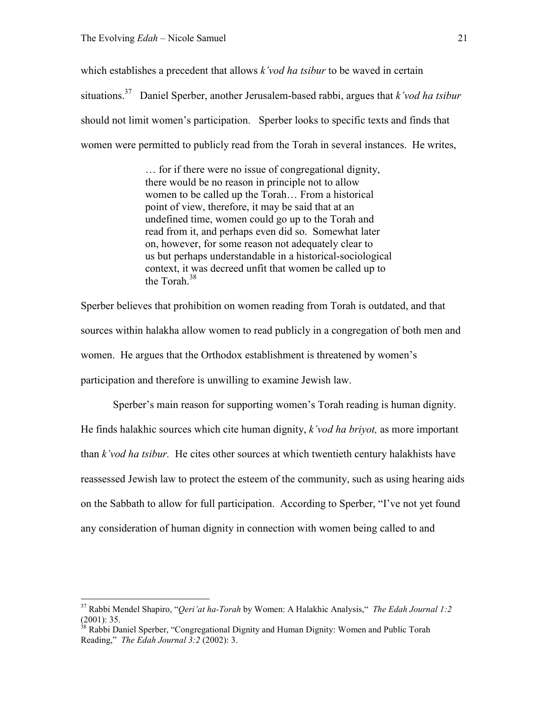which establishes a precedent that allows *k'vod ha tsibur* to be waved in certain situations.<sup>37</sup> Daniel Sperber, another Jerusalem-based rabbi, argues that *k'vod ha tsibur*  should not limit women's participation. Sperber looks to specific texts and finds that women were permitted to publicly read from the Torah in several instances. He writes,

> … for if there were no issue of congregational dignity, there would be no reason in principle not to allow women to be called up the Torah… From a historical point of view, therefore, it may be said that at an undefined time, women could go up to the Torah and read from it, and perhaps even did so. Somewhat later on, however, for some reason not adequately clear to us but perhaps understandable in a historical-sociological context, it was decreed unfit that women be called up to the Torah.<sup>38</sup>

Sperber believes that prohibition on women reading from Torah is outdated, and that sources within halakha allow women to read publicly in a congregation of both men and women. He argues that the Orthodox establishment is threatened by women's participation and therefore is unwilling to examine Jewish law.

Sperber's main reason for supporting women's Torah reading is human dignity. He finds halakhic sources which cite human dignity, *k'vod ha briyot,* as more important than *k'vod ha tsibur.* He cites other sources at which twentieth century halakhists have reassessed Jewish law to protect the esteem of the community, such as using hearing aids on the Sabbath to allow for full participation. According to Sperber, "I've not yet found any consideration of human dignity in connection with women being called to and

<sup>37</sup> Rabbi Mendel Shapiro, "*Qeri'at ha-Torah* by Women: A Halakhic Analysis," *The Edah Journal 1:2*  (2001): 35.

<sup>&</sup>lt;sup>38</sup> Rabbi Daniel Sperber, "Congregational Dignity and Human Dignity: Women and Public Torah Reading," *The Edah Journal 3:2* (2002): 3.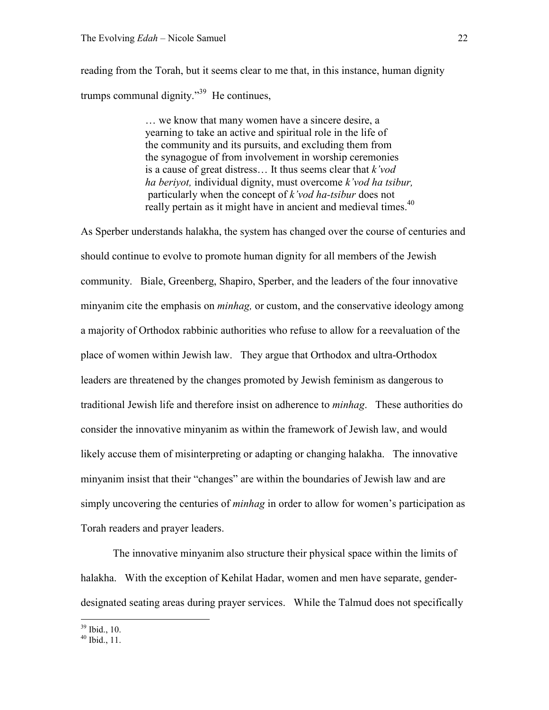reading from the Torah, but it seems clear to me that, in this instance, human dignity trumps communal dignity."<sup>39</sup> He continues,

> … we know that many women have a sincere desire, a yearning to take an active and spiritual role in the life of the community and its pursuits, and excluding them from the synagogue of from involvement in worship ceremonies is a cause of great distress… It thus seems clear that *k'vod ha beriyot,* individual dignity, must overcome *k'vod ha tsibur,*  particularly when the concept of *k'vod ha-tsibur* does not really pertain as it might have in ancient and medieval times.<sup>40</sup>

As Sperber understands halakha, the system has changed over the course of centuries and should continue to evolve to promote human dignity for all members of the Jewish community. Biale, Greenberg, Shapiro, Sperber, and the leaders of the four innovative minyanim cite the emphasis on *minhag,* or custom, and the conservative ideology among a majority of Orthodox rabbinic authorities who refuse to allow for a reevaluation of the place of women within Jewish law. They argue that Orthodox and ultra-Orthodox leaders are threatened by the changes promoted by Jewish feminism as dangerous to traditional Jewish life and therefore insist on adherence to *minhag*. These authorities do consider the innovative minyanim as within the framework of Jewish law, and would likely accuse them of misinterpreting or adapting or changing halakha. The innovative minyanim insist that their "changes" are within the boundaries of Jewish law and are simply uncovering the centuries of *minhag* in order to allow for women's participation as Torah readers and prayer leaders.

 The innovative minyanim also structure their physical space within the limits of halakha. With the exception of Kehilat Hadar, women and men have separate, genderdesignated seating areas during prayer services. While the Talmud does not specifically

<sup>&</sup>lt;sup>39</sup> Ibid., 10.

 $^{40}$  Ibid., 11.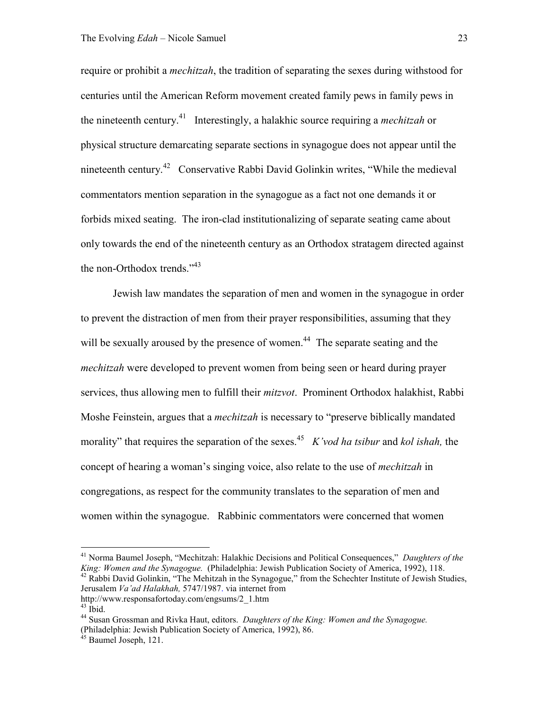require or prohibit a *mechitzah*, the tradition of separating the sexes during withstood for centuries until the American Reform movement created family pews in family pews in the nineteenth century.<sup>41</sup> Interestingly, a halakhic source requiring a *mechitzah* or physical structure demarcating separate sections in synagogue does not appear until the nineteenth century.<sup>42</sup> Conservative Rabbi David Golinkin writes, "While the medieval commentators mention separation in the synagogue as a fact not one demands it or forbids mixed seating. The iron-clad institutionalizing of separate seating came about only towards the end of the nineteenth century as an Orthodox stratagem directed against the non-Orthodox trends."<sup>43</sup>

Jewish law mandates the separation of men and women in the synagogue in order to prevent the distraction of men from their prayer responsibilities, assuming that they will be sexually aroused by the presence of women.<sup>44</sup> The separate seating and the *mechitzah* were developed to prevent women from being seen or heard during prayer services, thus allowing men to fulfill their *mitzvot*. Prominent Orthodox halakhist, Rabbi Moshe Feinstein, argues that a *mechitzah* is necessary to "preserve biblically mandated morality" that requires the separation of the sexes. 45 *K'vod ha tsibur* and *kol ishah,* the concept of hearing a woman's singing voice, also relate to the use of *mechitzah* in congregations, as respect for the community translates to the separation of men and women within the synagogue. Rabbinic commentators were concerned that women

<sup>41</sup> Norma Baumel Joseph, "Mechitzah: Halakhic Decisions and Political Consequences," *Daughters of the King: Women and the Synagogue.* (Philadelphia: Jewish Publication Society of America, 1992), 118.

<sup>&</sup>lt;sup>42</sup> Rabbi David Golinkin, "The Mehitzah in the Synagogue," from the Schechter Institute of Jewish Studies, Jerusalem *Va'ad Halakhah,* 5747/1987. via internet from http://www.responsafortoday.com/engsums/2\_1.htm

 $43$  Ibid.

<sup>44</sup> Susan Grossman and Rivka Haut, editors. *Daughters of the King: Women and the Synagogue.*  (Philadelphia: Jewish Publication Society of America, 1992), 86.

<sup>&</sup>lt;sup>45</sup> Baumel Joseph, 121.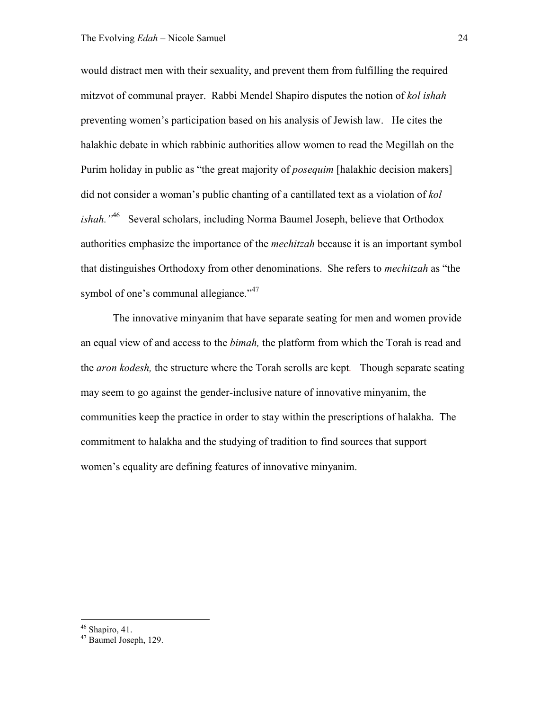would distract men with their sexuality, and prevent them from fulfilling the required mitzvot of communal prayer. Rabbi Mendel Shapiro disputes the notion of *kol ishah*  preventing women's participation based on his analysis of Jewish law. He cites the halakhic debate in which rabbinic authorities allow women to read the Megillah on the Purim holiday in public as "the great majority of *posequim* [halakhic decision makers] did not consider a woman's public chanting of a cantillated text as a violation of *kol ishah."*<sup>46</sup> Several scholars, including Norma Baumel Joseph, believe that Orthodox authorities emphasize the importance of the *mechitzah* because it is an important symbol that distinguishes Orthodoxy from other denominations. She refers to *mechitzah* as "the symbol of one's communal allegiance."<sup>47</sup>

The innovative minyanim that have separate seating for men and women provide an equal view of and access to the *bimah,* the platform from which the Torah is read and the *aron kodesh,* the structure where the Torah scrolls are kept*.* Though separate seating may seem to go against the gender-inclusive nature of innovative minyanim, the communities keep the practice in order to stay within the prescriptions of halakha. The commitment to halakha and the studying of tradition to find sources that support women's equality are defining features of innovative minyanim.

<sup>&</sup>lt;sup>46</sup> Shapiro, 41.

<sup>&</sup>lt;sup>47</sup> Baumel Joseph, 129.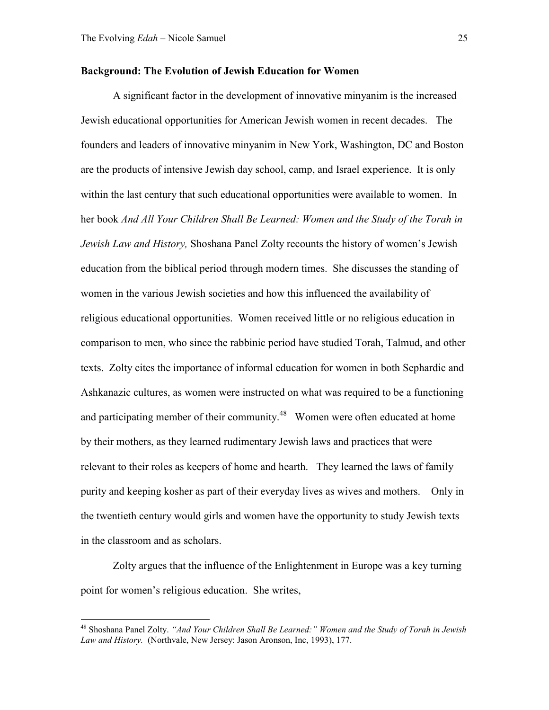$\overline{a}$ 

# **Background: The Evolution of Jewish Education for Women**

A significant factor in the development of innovative minyanim is the increased Jewish educational opportunities for American Jewish women in recent decades. The founders and leaders of innovative minyanim in New York, Washington, DC and Boston are the products of intensive Jewish day school, camp, and Israel experience. It is only within the last century that such educational opportunities were available to women. In her book *And All Your Children Shall Be Learned: Women and the Study of the Torah in Jewish Law and History,* Shoshana Panel Zolty recounts the history of women's Jewish education from the biblical period through modern times. She discusses the standing of women in the various Jewish societies and how this influenced the availability of religious educational opportunities. Women received little or no religious education in comparison to men, who since the rabbinic period have studied Torah, Talmud, and other texts. Zolty cites the importance of informal education for women in both Sephardic and Ashkanazic cultures, as women were instructed on what was required to be a functioning and participating member of their community.<sup>48</sup> Women were often educated at home by their mothers, as they learned rudimentary Jewish laws and practices that were relevant to their roles as keepers of home and hearth. They learned the laws of family purity and keeping kosher as part of their everyday lives as wives and mothers. Only in the twentieth century would girls and women have the opportunity to study Jewish texts in the classroom and as scholars.

Zolty argues that the influence of the Enlightenment in Europe was a key turning point for women's religious education. She writes,

<sup>48</sup> Shoshana Panel Zolty. *"And Your Children Shall Be Learned:" Women and the Study of Torah in Jewish Law and History.* (Northvale, New Jersey: Jason Aronson, Inc, 1993), 177.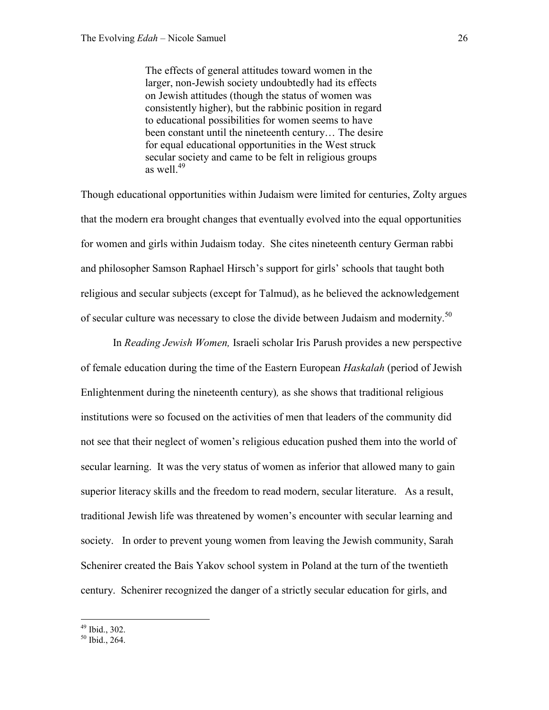The effects of general attitudes toward women in the larger, non-Jewish society undoubtedly had its effects on Jewish attitudes (though the status of women was consistently higher), but the rabbinic position in regard to educational possibilities for women seems to have been constant until the nineteenth century… The desire for equal educational opportunities in the West struck secular society and came to be felt in religious groups as well.<sup>49</sup>

Though educational opportunities within Judaism were limited for centuries, Zolty argues that the modern era brought changes that eventually evolved into the equal opportunities for women and girls within Judaism today. She cites nineteenth century German rabbi and philosopher Samson Raphael Hirsch's support for girls' schools that taught both religious and secular subjects (except for Talmud), as he believed the acknowledgement of secular culture was necessary to close the divide between Judaism and modernity.<sup>50</sup>

In *Reading Jewish Women,* Israeli scholar Iris Parush provides a new perspective of female education during the time of the Eastern European *Haskalah* (period of Jewish Enlightenment during the nineteenth century)*,* as she shows that traditional religious institutions were so focused on the activities of men that leaders of the community did not see that their neglect of women's religious education pushed them into the world of secular learning. It was the very status of women as inferior that allowed many to gain superior literacy skills and the freedom to read modern, secular literature. As a result, traditional Jewish life was threatened by women's encounter with secular learning and society. In order to prevent young women from leaving the Jewish community, Sarah Schenirer created the Bais Yakov school system in Poland at the turn of the twentieth century. Schenirer recognized the danger of a strictly secular education for girls, and

<sup>49</sup> Ibid., 302.

 $50$  Ibid., 264.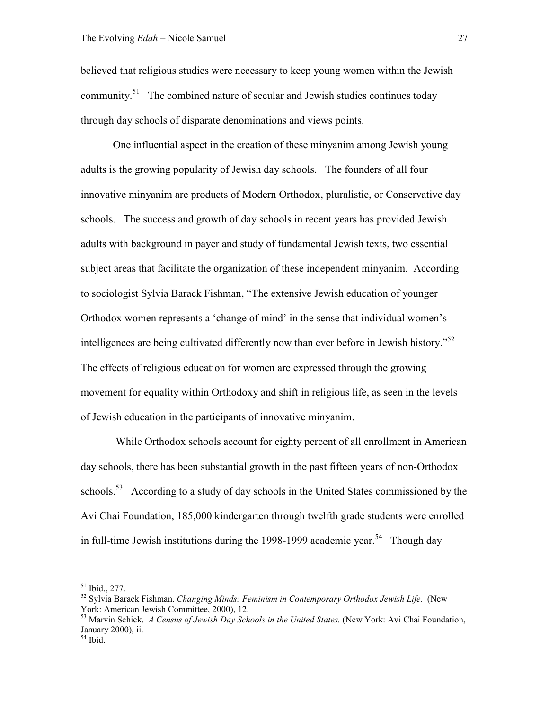believed that religious studies were necessary to keep young women within the Jewish community.<sup>51</sup> The combined nature of secular and Jewish studies continues today through day schools of disparate denominations and views points.

One influential aspect in the creation of these minyanim among Jewish young adults is the growing popularity of Jewish day schools. The founders of all four innovative minyanim are products of Modern Orthodox, pluralistic, or Conservative day schools. The success and growth of day schools in recent years has provided Jewish adults with background in payer and study of fundamental Jewish texts, two essential subject areas that facilitate the organization of these independent minyanim. According to sociologist Sylvia Barack Fishman, "The extensive Jewish education of younger Orthodox women represents a 'change of mind' in the sense that individual women's intelligences are being cultivated differently now than ever before in Jewish history."<sup>52</sup> The effects of religious education for women are expressed through the growing movement for equality within Orthodoxy and shift in religious life, as seen in the levels of Jewish education in the participants of innovative minyanim.

 While Orthodox schools account for eighty percent of all enrollment in American day schools, there has been substantial growth in the past fifteen years of non-Orthodox schools.<sup>53</sup> According to a study of day schools in the United States commissioned by the Avi Chai Foundation, 185,000 kindergarten through twelfth grade students were enrolled in full-time Jewish institutions during the 1998-1999 academic year.<sup>54</sup> Though day

 $51$  Ibid., 277.

<sup>52</sup> Sylvia Barack Fishman. *Changing Minds: Feminism in Contemporary Orthodox Jewish Life.* (New York: American Jewish Committee, 2000), 12.

<sup>53</sup> Marvin Schick. *A Census of Jewish Day Schools in the United States.* (New York: Avi Chai Foundation, January 2000), ii.

<sup>54</sup> Ibid.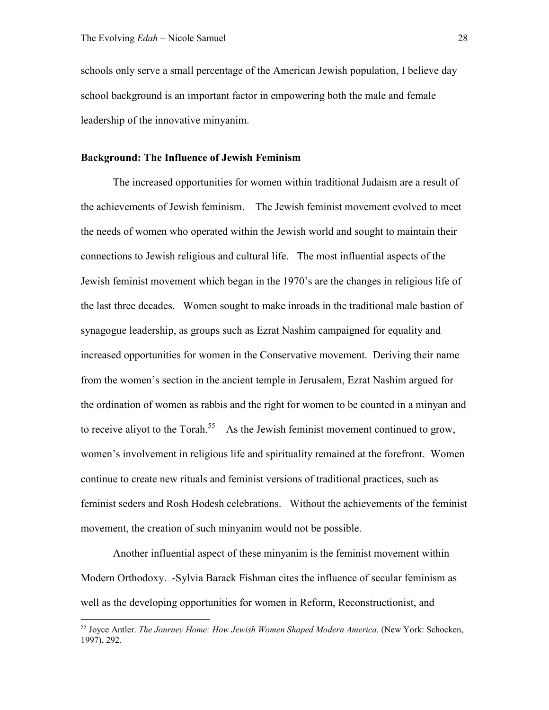l

schools only serve a small percentage of the American Jewish population, I believe day school background is an important factor in empowering both the male and female leadership of the innovative minyanim.

## **Background: The Influence of Jewish Feminism**

The increased opportunities for women within traditional Judaism are a result of the achievements of Jewish feminism. The Jewish feminist movement evolved to meet the needs of women who operated within the Jewish world and sought to maintain their connections to Jewish religious and cultural life. The most influential aspects of the Jewish feminist movement which began in the 1970's are the changes in religious life of the last three decades. Women sought to make inroads in the traditional male bastion of synagogue leadership, as groups such as Ezrat Nashim campaigned for equality and increased opportunities for women in the Conservative movement. Deriving their name from the women's section in the ancient temple in Jerusalem, Ezrat Nashim argued for the ordination of women as rabbis and the right for women to be counted in a minyan and to receive aliyot to the Torah.<sup>55</sup> As the Jewish feminist movement continued to grow, women's involvement in religious life and spirituality remained at the forefront. Women continue to create new rituals and feminist versions of traditional practices, such as feminist seders and Rosh Hodesh celebrations. Without the achievements of the feminist movement, the creation of such minyanim would not be possible.

Another influential aspect of these minyanim is the feminist movement within Modern Orthodoxy. -Sylvia Barack Fishman cites the influence of secular feminism as well as the developing opportunities for women in Reform, Reconstructionist, and

<sup>&</sup>lt;sup>55</sup> Joyce Antler. *The Journey Home: How Jewish Women Shaped Modern America.* (New York: Schocken, 1997), 292.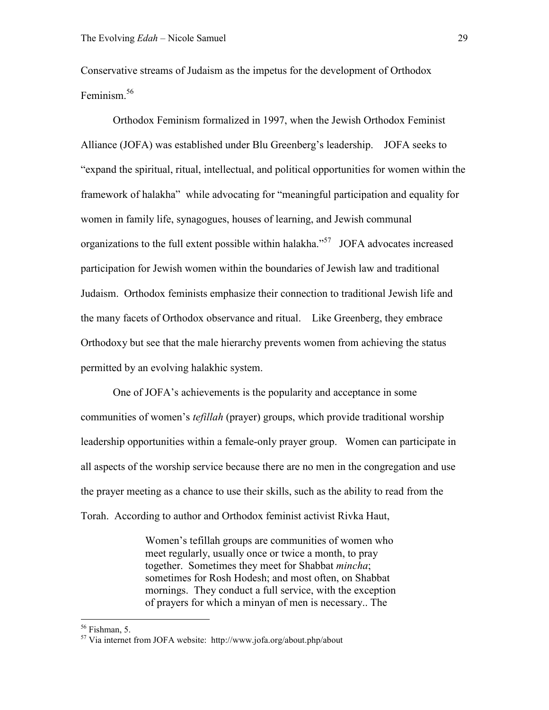Conservative streams of Judaism as the impetus for the development of Orthodox Feminism.<sup>56</sup>

Orthodox Feminism formalized in 1997, when the Jewish Orthodox Feminist Alliance (JOFA) was established under Blu Greenberg's leadership. JOFA seeks to "expand the spiritual, ritual, intellectual, and political opportunities for women within the framework of halakha" while advocating for "meaningful participation and equality for women in family life, synagogues, houses of learning, and Jewish communal organizations to the full extent possible within halakha."<sup>57</sup> JOFA advocates increased participation for Jewish women within the boundaries of Jewish law and traditional Judaism. Orthodox feminists emphasize their connection to traditional Jewish life and the many facets of Orthodox observance and ritual. Like Greenberg, they embrace Orthodoxy but see that the male hierarchy prevents women from achieving the status permitted by an evolving halakhic system.

One of JOFA's achievements is the popularity and acceptance in some communities of women's *tefillah* (prayer) groups, which provide traditional worship leadership opportunities within a female-only prayer group. Women can participate in all aspects of the worship service because there are no men in the congregation and use the prayer meeting as a chance to use their skills, such as the ability to read from the Torah. According to author and Orthodox feminist activist Rivka Haut,

> Women's tefillah groups are communities of women who meet regularly, usually once or twice a month, to pray together. Sometimes they meet for Shabbat *mincha*; sometimes for Rosh Hodesh; and most often, on Shabbat mornings. They conduct a full service, with the exception of prayers for which a minyan of men is necessary.. The

l

 $56$  Fishman, 5.

<sup>57</sup> Via internet from JOFA website: http://www.jofa.org/about.php/about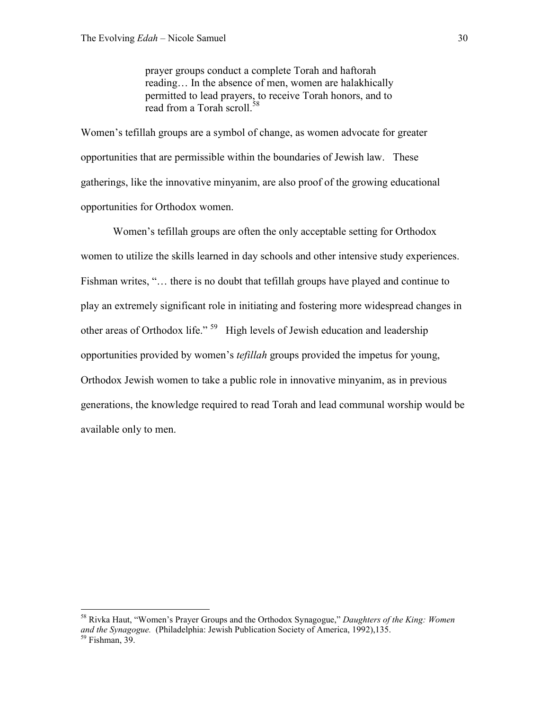prayer groups conduct a complete Torah and haftorah reading… In the absence of men, women are halakhically permitted to lead prayers, to receive Torah honors, and to read from a Torah scroll.<sup>58</sup>

Women's tefillah groups are a symbol of change, as women advocate for greater opportunities that are permissible within the boundaries of Jewish law. These gatherings, like the innovative minyanim, are also proof of the growing educational opportunities for Orthodox women.

Women's tefillah groups are often the only acceptable setting for Orthodox women to utilize the skills learned in day schools and other intensive study experiences. Fishman writes, "… there is no doubt that tefillah groups have played and continue to play an extremely significant role in initiating and fostering more widespread changes in other areas of Orthodox life."<sup>59</sup> High levels of Jewish education and leadership opportunities provided by women's *tefillah* groups provided the impetus for young, Orthodox Jewish women to take a public role in innovative minyanim, as in previous generations, the knowledge required to read Torah and lead communal worship would be available only to men.

<sup>58</sup> Rivka Haut, "Women's Prayer Groups and the Orthodox Synagogue," *Daughters of the King: Women and the Synagogue.* (Philadelphia: Jewish Publication Society of America, 1992),135.

<sup>59</sup> Fishman, 39.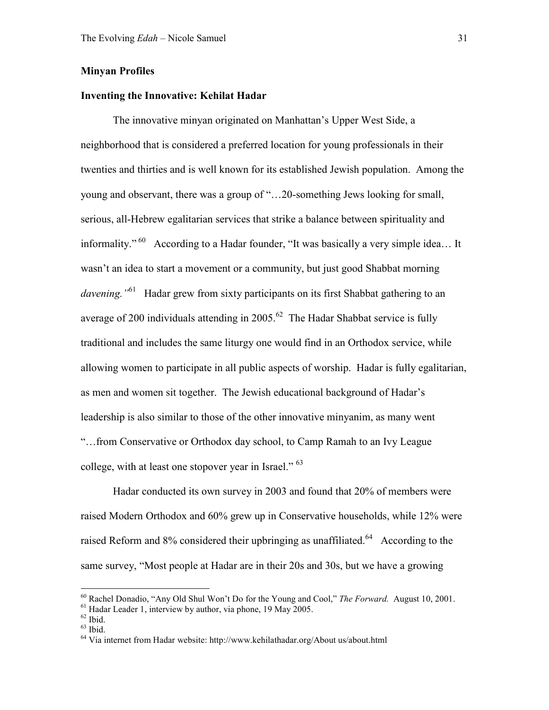### **Minyan Profiles**

### **Inventing the Innovative: Kehilat Hadar**

The innovative minyan originated on Manhattan's Upper West Side, a neighborhood that is considered a preferred location for young professionals in their twenties and thirties and is well known for its established Jewish population. Among the young and observant, there was a group of "…20-something Jews looking for small, serious, all-Hebrew egalitarian services that strike a balance between spirituality and informality."<sup>60</sup> According to a Hadar founder, "It was basically a very simple idea... It wasn't an idea to start a movement or a community, but just good Shabbat morning *davening."*<sup>61</sup> Hadar grew from sixty participants on its first Shabbat gathering to an average of 200 individuals attending in 2005.<sup>62</sup> The Hadar Shabbat service is fully traditional and includes the same liturgy one would find in an Orthodox service, while allowing women to participate in all public aspects of worship. Hadar is fully egalitarian, as men and women sit together. The Jewish educational background of Hadar's leadership is also similar to those of the other innovative minyanim, as many went "…from Conservative or Orthodox day school, to Camp Ramah to an Ivy League college, with at least one stopover year in Israel." <sup>63</sup>

Hadar conducted its own survey in 2003 and found that 20% of members were raised Modern Orthodox and 60% grew up in Conservative households, while 12% were raised Reform and  $8\%$  considered their upbringing as unaffiliated.<sup>64</sup> According to the same survey, "Most people at Hadar are in their 20s and 30s, but we have a growing

<sup>60</sup> Rachel Donadio, "Any Old Shul Won't Do for the Young and Cool," *The Forward.* August 10, 2001.

<sup>&</sup>lt;sup>61</sup> Hadar Leader 1, interview by author, via phone, 19 May 2005.

 $62$  Ibid.

 $63$  Ibid.

<sup>64</sup> Via internet from Hadar website: http://www.kehilathadar.org/About us/about.html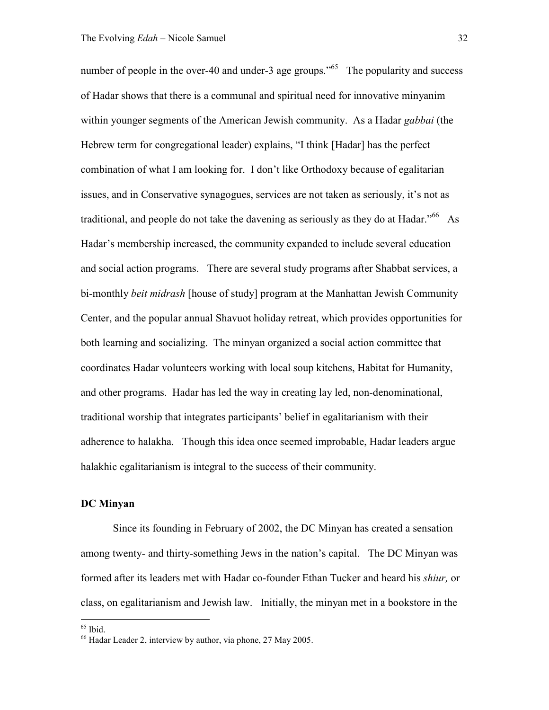number of people in the over-40 and under-3 age groups.<sup> $10^{65}$ </sup> The popularity and success of Hadar shows that there is a communal and spiritual need for innovative minyanim within younger segments of the American Jewish community. As a Hadar *gabbai* (the Hebrew term for congregational leader) explains, "I think [Hadar] has the perfect combination of what I am looking for. I don't like Orthodoxy because of egalitarian issues, and in Conservative synagogues, services are not taken as seriously, it's not as traditional, and people do not take the davening as seriously as they do at Hadar.<sup> $10^{66}$ </sup> As Hadar's membership increased, the community expanded to include several education and social action programs. There are several study programs after Shabbat services, a bi-monthly *beit midrash* [house of study] program at the Manhattan Jewish Community Center, and the popular annual Shavuot holiday retreat, which provides opportunities for both learning and socializing. The minyan organized a social action committee that coordinates Hadar volunteers working with local soup kitchens, Habitat for Humanity, and other programs. Hadar has led the way in creating lay led, non-denominational, traditional worship that integrates participants' belief in egalitarianism with their adherence to halakha. Though this idea once seemed improbable, Hadar leaders argue halakhic egalitarianism is integral to the success of their community.

#### **DC Minyan**

Since its founding in February of 2002, the DC Minyan has created a sensation among twenty- and thirty-something Jews in the nation's capital. The DC Minyan was formed after its leaders met with Hadar co-founder Ethan Tucker and heard his *shiur,* or class, on egalitarianism and Jewish law. Initially, the minyan met in a bookstore in the

l

 $65$  Ibid.

<sup>66</sup> Hadar Leader 2, interview by author, via phone, 27 May 2005.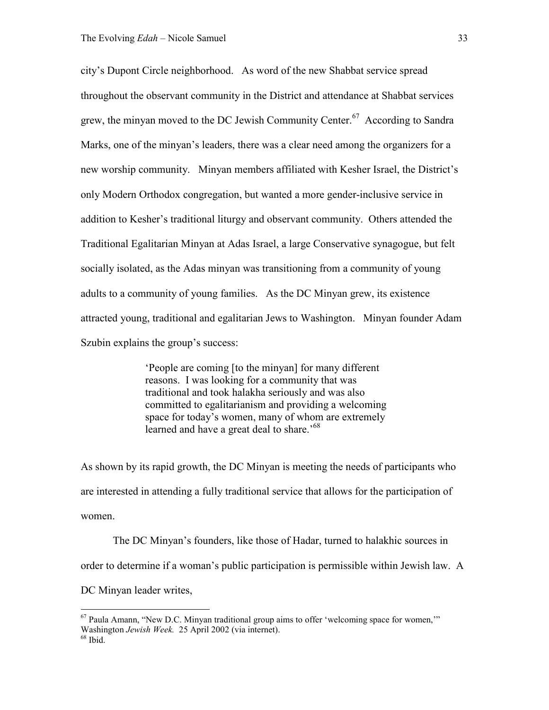city's Dupont Circle neighborhood. As word of the new Shabbat service spread throughout the observant community in the District and attendance at Shabbat services grew, the minyan moved to the DC Jewish Community Center.<sup>67</sup> According to Sandra Marks, one of the minyan's leaders, there was a clear need among the organizers for a new worship community. Minyan members affiliated with Kesher Israel, the District's only Modern Orthodox congregation, but wanted a more gender-inclusive service in addition to Kesher's traditional liturgy and observant community. Others attended the Traditional Egalitarian Minyan at Adas Israel, a large Conservative synagogue, but felt socially isolated, as the Adas minyan was transitioning from a community of young adults to a community of young families. As the DC Minyan grew, its existence attracted young, traditional and egalitarian Jews to Washington. Minyan founder Adam Szubin explains the group's success:

> 'People are coming [to the minyan] for many different reasons. I was looking for a community that was traditional and took halakha seriously and was also committed to egalitarianism and providing a welcoming space for today's women, many of whom are extremely learned and have a great deal to share.<sup>68</sup>

As shown by its rapid growth, the DC Minyan is meeting the needs of participants who are interested in attending a fully traditional service that allows for the participation of women.

The DC Minyan's founders, like those of Hadar, turned to halakhic sources in order to determine if a woman's public participation is permissible within Jewish law. A DC Minyan leader writes,

 $\overline{a}$  $<sup>67</sup>$  Paula Amann, "New D.C. Minyan traditional group aims to offer 'welcoming space for women,"</sup>

Washington *Jewish Week.* 25 April 2002 (via internet).

 $^{68}$  Ibid.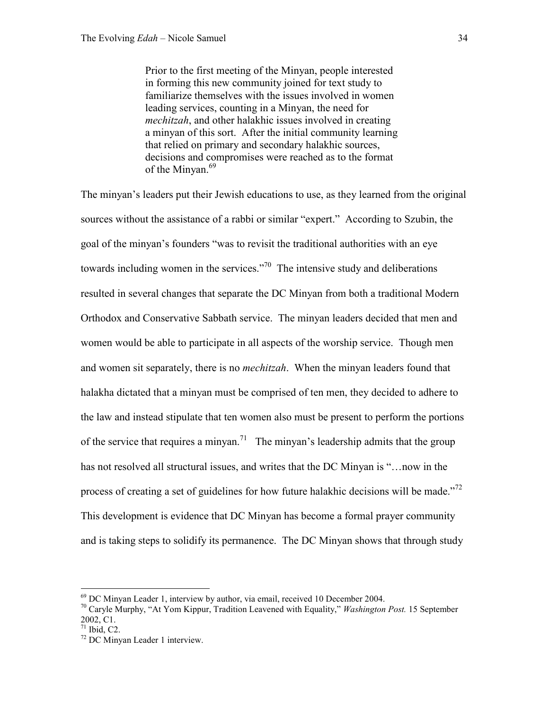Prior to the first meeting of the Minyan, people interested in forming this new community joined for text study to familiarize themselves with the issues involved in women leading services, counting in a Minyan, the need for *mechitzah*, and other halakhic issues involved in creating a minyan of this sort. After the initial community learning that relied on primary and secondary halakhic sources, decisions and compromises were reached as to the format of the Minyan.<sup>69</sup>

The minyan's leaders put their Jewish educations to use, as they learned from the original sources without the assistance of a rabbi or similar "expert." According to Szubin, the goal of the minyan's founders "was to revisit the traditional authorities with an eye towards including women in the services."<sup>70</sup> The intensive study and deliberations resulted in several changes that separate the DC Minyan from both a traditional Modern Orthodox and Conservative Sabbath service. The minyan leaders decided that men and women would be able to participate in all aspects of the worship service. Though men and women sit separately, there is no *mechitzah*. When the minyan leaders found that halakha dictated that a minyan must be comprised of ten men, they decided to adhere to the law and instead stipulate that ten women also must be present to perform the portions of the service that requires a minyan.<sup>71</sup> The minyan's leadership admits that the group has not resolved all structural issues, and writes that the DC Minyan is "…now in the process of creating a set of guidelines for how future halakhic decisions will be made."<sup>72</sup> This development is evidence that DC Minyan has become a formal prayer community and is taking steps to solidify its permanence. The DC Minyan shows that through study

 $69$  DC Minyan Leader 1, interview by author, via email, received 10 December 2004.

<sup>70</sup> Caryle Murphy, "At Yom Kippur, Tradition Leavened with Equality," *Washington Post.* 15 September 2002, C1.

 $71$  Ibid, C2.

<sup>72</sup> DC Minyan Leader 1 interview.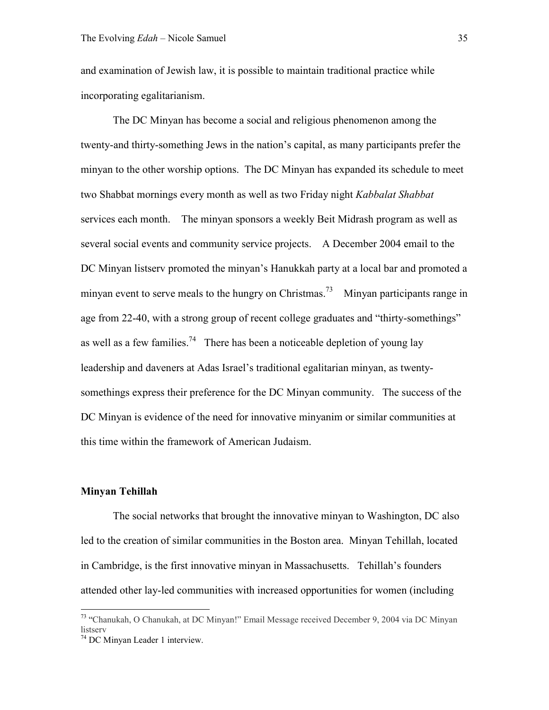and examination of Jewish law, it is possible to maintain traditional practice while incorporating egalitarianism.

The DC Minyan has become a social and religious phenomenon among the twenty-and thirty-something Jews in the nation's capital, as many participants prefer the minyan to the other worship options. The DC Minyan has expanded its schedule to meet two Shabbat mornings every month as well as two Friday night *Kabbalat Shabbat*  services each month. The minyan sponsors a weekly Beit Midrash program as well as several social events and community service projects. A December 2004 email to the DC Minyan listserv promoted the minyan's Hanukkah party at a local bar and promoted a minyan event to serve meals to the hungry on Christmas.<sup>73</sup> Minyan participants range in age from 22-40, with a strong group of recent college graduates and "thirty-somethings" as well as a few families.<sup>74</sup> There has been a noticeable depletion of young lay leadership and daveners at Adas Israel's traditional egalitarian minyan, as twentysomethings express their preference for the DC Minyan community. The success of the DC Minyan is evidence of the need for innovative minyanim or similar communities at this time within the framework of American Judaism.

#### **Minyan Tehillah**

 $\overline{a}$ 

 The social networks that brought the innovative minyan to Washington, DC also led to the creation of similar communities in the Boston area. Minyan Tehillah, located in Cambridge, is the first innovative minyan in Massachusetts. Tehillah's founders attended other lay-led communities with increased opportunities for women (including

<sup>&</sup>lt;sup>73</sup> "Chanukah, O Chanukah, at DC Minyan!" Email Message received December 9, 2004 via DC Minyan listserv

<sup>74</sup> DC Minyan Leader 1 interview.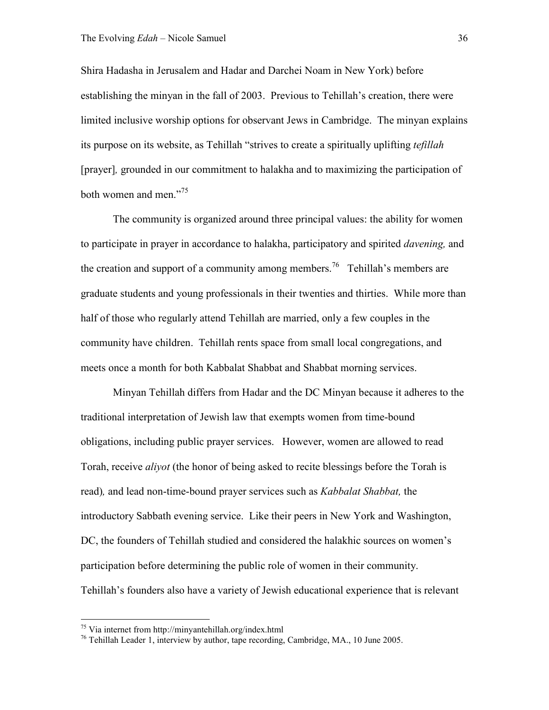Shira Hadasha in Jerusalem and Hadar and Darchei Noam in New York) before establishing the minyan in the fall of 2003. Previous to Tehillah's creation, there were limited inclusive worship options for observant Jews in Cambridge. The minyan explains its purpose on its website, as Tehillah "strives to create a spiritually uplifting *tefillah*  [prayer]*,* grounded in our commitment to halakha and to maximizing the participation of both women and men."<sup>75</sup>

The community is organized around three principal values: the ability for women to participate in prayer in accordance to halakha, participatory and spirited *davening,* and the creation and support of a community among members.<sup>76</sup> Tehillah's members are graduate students and young professionals in their twenties and thirties. While more than half of those who regularly attend Tehillah are married, only a few couples in the community have children. Tehillah rents space from small local congregations, and meets once a month for both Kabbalat Shabbat and Shabbat morning services.

Minyan Tehillah differs from Hadar and the DC Minyan because it adheres to the traditional interpretation of Jewish law that exempts women from time-bound obligations, including public prayer services. However, women are allowed to read Torah, receive *aliyot* (the honor of being asked to recite blessings before the Torah is read)*,* and lead non-time-bound prayer services such as *Kabbalat Shabbat,* the introductory Sabbath evening service. Like their peers in New York and Washington, DC, the founders of Tehillah studied and considered the halakhic sources on women's participation before determining the public role of women in their community. Tehillah's founders also have a variety of Jewish educational experience that is relevant

l

<sup>&</sup>lt;sup>75</sup> Via internet from http://minyantehillah.org/index.html

<sup>&</sup>lt;sup>76</sup> Tehillah Leader 1, interview by author, tape recording, Cambridge, MA., 10 June 2005.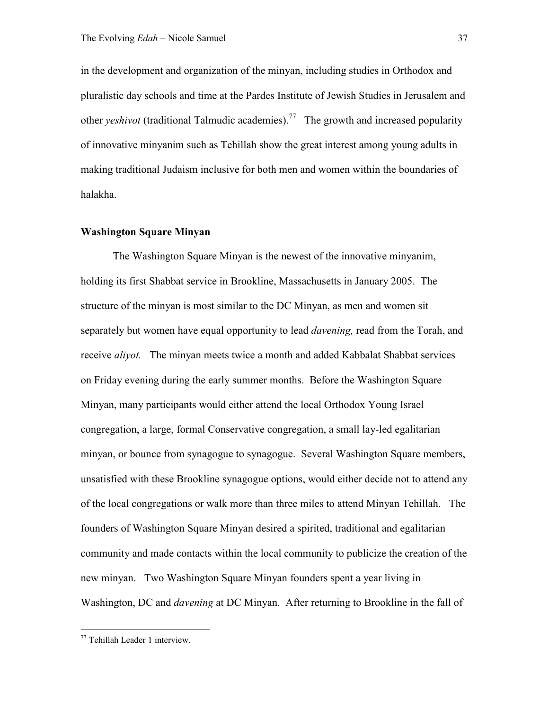in the development and organization of the minyan, including studies in Orthodox and pluralistic day schools and time at the Pardes Institute of Jewish Studies in Jerusalem and other *yeshivot* (traditional Talmudic academies).<sup>77</sup> The growth and increased popularity of innovative minyanim such as Tehillah show the great interest among young adults in making traditional Judaism inclusive for both men and women within the boundaries of halakha.

## **Washington Square Minyan**

The Washington Square Minyan is the newest of the innovative minyanim, holding its first Shabbat service in Brookline, Massachusetts in January 2005. The structure of the minyan is most similar to the DC Minyan, as men and women sit separately but women have equal opportunity to lead *davening,* read from the Torah, and receive *aliyot.* The minyan meets twice a month and added Kabbalat Shabbat services on Friday evening during the early summer months. Before the Washington Square Minyan, many participants would either attend the local Orthodox Young Israel congregation, a large, formal Conservative congregation, a small lay-led egalitarian minyan, or bounce from synagogue to synagogue. Several Washington Square members, unsatisfied with these Brookline synagogue options, would either decide not to attend any of the local congregations or walk more than three miles to attend Minyan Tehillah. The founders of Washington Square Minyan desired a spirited, traditional and egalitarian community and made contacts within the local community to publicize the creation of the new minyan. Two Washington Square Minyan founders spent a year living in Washington, DC and *davening* at DC Minyan. After returning to Brookline in the fall of

<sup>77</sup> Tehillah Leader 1 interview.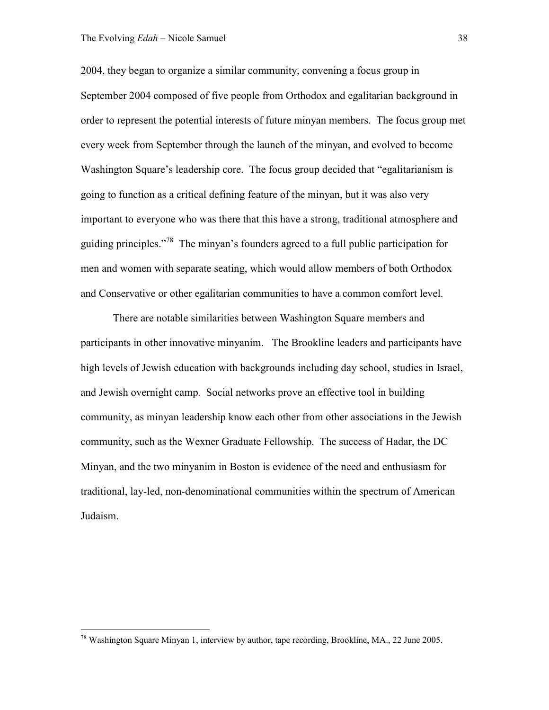2004, they began to organize a similar community, convening a focus group in September 2004 composed of five people from Orthodox and egalitarian background in order to represent the potential interests of future minyan members. The focus group met every week from September through the launch of the minyan, and evolved to become Washington Square's leadership core. The focus group decided that "egalitarianism is going to function as a critical defining feature of the minyan, but it was also very important to everyone who was there that this have a strong, traditional atmosphere and guiding principles."<sup>78</sup> The minyan's founders agreed to a full public participation for men and women with separate seating, which would allow members of both Orthodox and Conservative or other egalitarian communities to have a common comfort level.

There are notable similarities between Washington Square members and participants in other innovative minyanim. The Brookline leaders and participants have high levels of Jewish education with backgrounds including day school, studies in Israel, and Jewish overnight camp. Social networks prove an effective tool in building community, as minyan leadership know each other from other associations in the Jewish community, such as the Wexner Graduate Fellowship. The success of Hadar, the DC Minyan, and the two minyanim in Boston is evidence of the need and enthusiasm for traditional, lay-led, non-denominational communities within the spectrum of American Judaism.

<sup>&</sup>lt;sup>78</sup> Washington Square Minyan 1, interview by author, tape recording, Brookline, MA., 22 June 2005.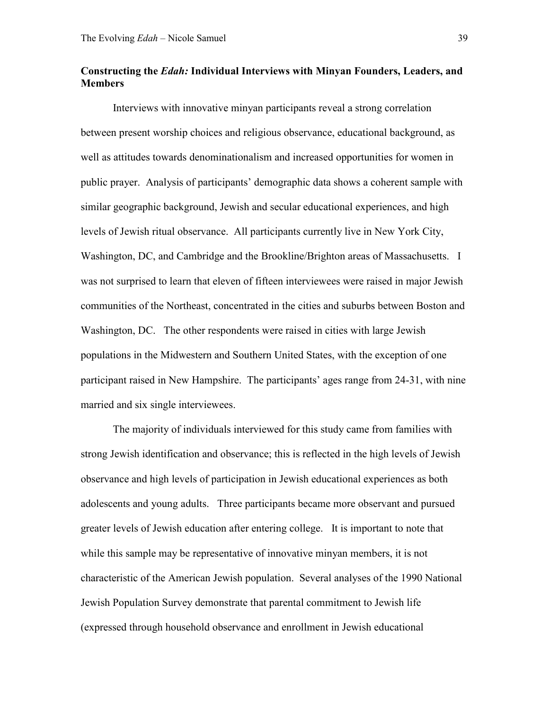# **Constructing the** *Edah:* **Individual Interviews with Minyan Founders, Leaders, and Members**

Interviews with innovative minyan participants reveal a strong correlation between present worship choices and religious observance, educational background, as well as attitudes towards denominationalism and increased opportunities for women in public prayer. Analysis of participants' demographic data shows a coherent sample with similar geographic background, Jewish and secular educational experiences, and high levels of Jewish ritual observance. All participants currently live in New York City, Washington, DC, and Cambridge and the Brookline/Brighton areas of Massachusetts. I was not surprised to learn that eleven of fifteen interviewees were raised in major Jewish communities of the Northeast, concentrated in the cities and suburbs between Boston and Washington, DC. The other respondents were raised in cities with large Jewish populations in the Midwestern and Southern United States, with the exception of one participant raised in New Hampshire. The participants' ages range from 24-31, with nine married and six single interviewees.

The majority of individuals interviewed for this study came from families with strong Jewish identification and observance; this is reflected in the high levels of Jewish observance and high levels of participation in Jewish educational experiences as both adolescents and young adults. Three participants became more observant and pursued greater levels of Jewish education after entering college. It is important to note that while this sample may be representative of innovative minyan members, it is not characteristic of the American Jewish population. Several analyses of the 1990 National Jewish Population Survey demonstrate that parental commitment to Jewish life (expressed through household observance and enrollment in Jewish educational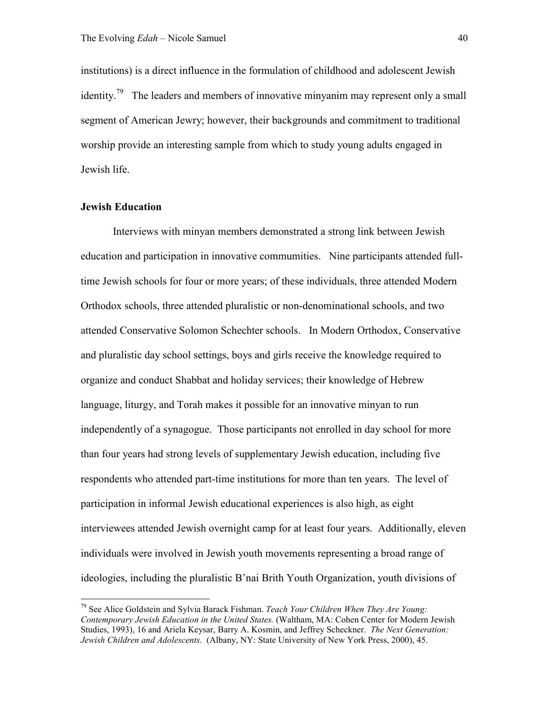institutions) is a direct influence in the formulation of childhood and adolescent Jewish identity.<sup>79</sup> The leaders and members of innovative minyanim may represent only a small segment of American Jewry; however, their backgrounds and commitment to traditional worship provide an interesting sample from which to study young adults engaged in Jewish life.

# **Jewish Education**

 $\overline{a}$ 

Interviews with minyan members demonstrated a strong link between Jewish education and participation in innovative commumities. Nine participants attended fulltime Jewish schools for four or more years; of these individuals, three attended Modern Orthodox schools, three attended pluralistic or non-denominational schools, and two attended Conservative Solomon Schechter schools. In Modern Orthodox, Conservative and pluralistic day school settings, boys and girls receive the knowledge required to organize and conduct Shabbat and holiday services; their knowledge of Hebrew language, liturgy, and Torah makes it possible for an innovative minyan to run independently of a synagogue. Those participants not enrolled in day school for more than four years had strong levels of supplementary Jewish education, including five respondents who attended part-time institutions for more than ten years. The level of participation in informal Jewish educational experiences is also high, as eight interviewees attended Jewish overnight camp for at least four years. Additionally, eleven individuals were involved in Jewish youth movements representing a broad range of ideologies, including the pluralistic B'nai Brith Youth Organization, youth divisions of

<sup>79</sup> See Alice Goldstein and Sylvia Barack Fishman. *Teach Your Children When They Are Young: Contemporary Jewish Education in the United States.* (Waltham, MA: Cohen Center for Modern Jewish Studies, 1993), 16 and Ariela Keysar, Barry A. Kosmin, and Jeffrey Scheckner. *The Next Generation: Jewish Children and Adolescents.* (Albany, NY: State University of New York Press, 2000), 45.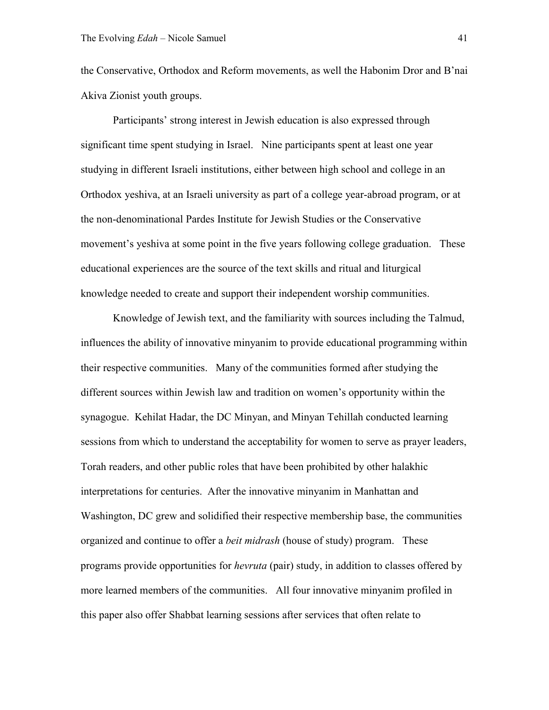the Conservative, Orthodox and Reform movements, as well the Habonim Dror and B'nai Akiva Zionist youth groups.

 Participants' strong interest in Jewish education is also expressed through significant time spent studying in Israel. Nine participants spent at least one year studying in different Israeli institutions, either between high school and college in an Orthodox yeshiva, at an Israeli university as part of a college year-abroad program, or at the non-denominational Pardes Institute for Jewish Studies or the Conservative movement's yeshiva at some point in the five years following college graduation. These educational experiences are the source of the text skills and ritual and liturgical knowledge needed to create and support their independent worship communities.

Knowledge of Jewish text, and the familiarity with sources including the Talmud, influences the ability of innovative minyanim to provide educational programming within their respective communities. Many of the communities formed after studying the different sources within Jewish law and tradition on women's opportunity within the synagogue. Kehilat Hadar, the DC Minyan, and Minyan Tehillah conducted learning sessions from which to understand the acceptability for women to serve as prayer leaders, Torah readers, and other public roles that have been prohibited by other halakhic interpretations for centuries. After the innovative minyanim in Manhattan and Washington, DC grew and solidified their respective membership base, the communities organized and continue to offer a *beit midrash* (house of study) program. These programs provide opportunities for *hevruta* (pair) study, in addition to classes offered by more learned members of the communities. All four innovative minyanim profiled in this paper also offer Shabbat learning sessions after services that often relate to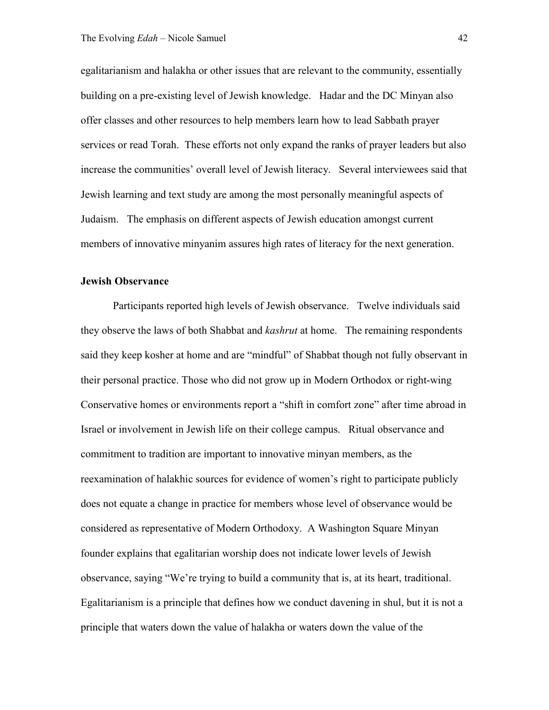egalitarianism and halakha or other issues that are relevant to the community, essentially building on a pre-existing level of Jewish knowledge. Hadar and the DC Minyan also offer classes and other resources to help members learn how to lead Sabbath prayer services or read Torah. These efforts not only expand the ranks of prayer leaders but also increase the communities' overall level of Jewish literacy. Several interviewees said that Jewish learning and text study are among the most personally meaningful aspects of Judaism. The emphasis on different aspects of Jewish education amongst current members of innovative minyanim assures high rates of literacy for the next generation.

### **Jewish Observance**

Participants reported high levels of Jewish observance. Twelve individuals said they observe the laws of both Shabbat and *kashrut* at home. The remaining respondents said they keep kosher at home and are "mindful" of Shabbat though not fully observant in their personal practice. Those who did not grow up in Modern Orthodox or right-wing Conservative homes or environments report a "shift in comfort zone" after time abroad in Israel or involvement in Jewish life on their college campus. Ritual observance and commitment to tradition are important to innovative minyan members, as the reexamination of halakhic sources for evidence of women's right to participate publicly does not equate a change in practice for members whose level of observance would be considered as representative of Modern Orthodoxy. A Washington Square Minyan founder explains that egalitarian worship does not indicate lower levels of Jewish observance, saying "We're trying to build a community that is, at its heart, traditional. Egalitarianism is a principle that defines how we conduct davening in shul, but it is not a principle that waters down the value of halakha or waters down the value of the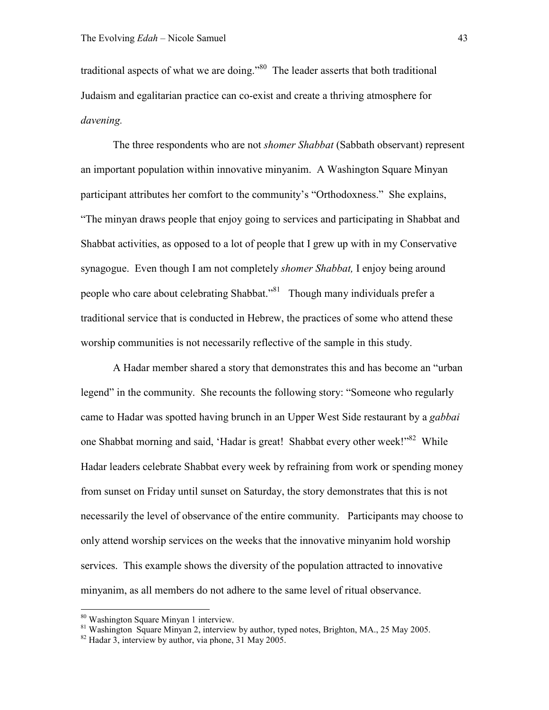traditional aspects of what we are doing."<sup>80</sup> The leader asserts that both traditional Judaism and egalitarian practice can co-exist and create a thriving atmosphere for *davening.* 

The three respondents who are not *shomer Shabbat* (Sabbath observant) represent an important population within innovative minyanim. A Washington Square Minyan participant attributes her comfort to the community's "Orthodoxness." She explains, "The minyan draws people that enjoy going to services and participating in Shabbat and Shabbat activities, as opposed to a lot of people that I grew up with in my Conservative synagogue. Even though I am not completely *shomer Shabbat,* I enjoy being around people who care about celebrating Shabbat."<sup>81</sup> Though many individuals prefer a traditional service that is conducted in Hebrew, the practices of some who attend these worship communities is not necessarily reflective of the sample in this study.

A Hadar member shared a story that demonstrates this and has become an "urban legend" in the community. She recounts the following story: "Someone who regularly came to Hadar was spotted having brunch in an Upper West Side restaurant by a *gabbai* one Shabbat morning and said, 'Hadar is great! Shabbat every other week!"<sup>82</sup> While Hadar leaders celebrate Shabbat every week by refraining from work or spending money from sunset on Friday until sunset on Saturday, the story demonstrates that this is not necessarily the level of observance of the entire community. Participants may choose to only attend worship services on the weeks that the innovative minyanim hold worship services. This example shows the diversity of the population attracted to innovative minyanim, as all members do not adhere to the same level of ritual observance.

<sup>80</sup> Washington Square Minyan 1 interview.

<sup>&</sup>lt;sup>81</sup> Washington Square Minyan 2, interview by author, typed notes, Brighton, MA., 25 May 2005.

<sup>82</sup> Hadar 3, interview by author, via phone, 31 May 2005.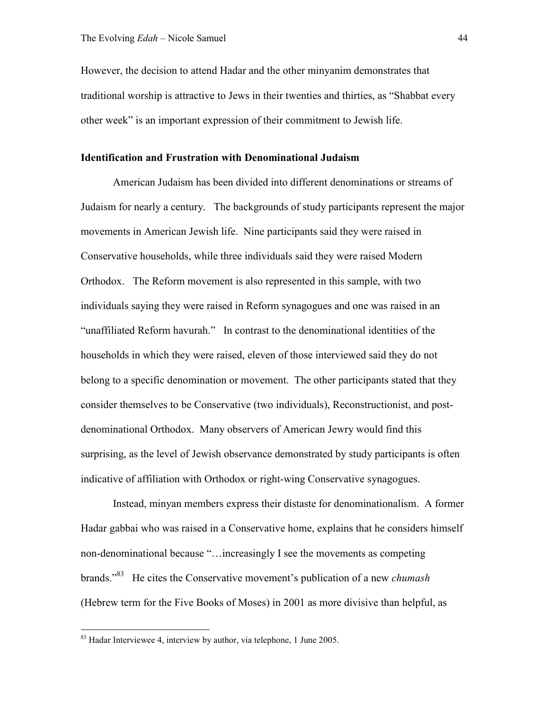However, the decision to attend Hadar and the other minyanim demonstrates that traditional worship is attractive to Jews in their twenties and thirties, as "Shabbat every other week" is an important expression of their commitment to Jewish life.

## **Identification and Frustration with Denominational Judaism**

American Judaism has been divided into different denominations or streams of Judaism for nearly a century. The backgrounds of study participants represent the major movements in American Jewish life. Nine participants said they were raised in Conservative households, while three individuals said they were raised Modern Orthodox. The Reform movement is also represented in this sample, with two individuals saying they were raised in Reform synagogues and one was raised in an "unaffiliated Reform havurah." In contrast to the denominational identities of the households in which they were raised, eleven of those interviewed said they do not belong to a specific denomination or movement. The other participants stated that they consider themselves to be Conservative (two individuals), Reconstructionist, and postdenominational Orthodox. Many observers of American Jewry would find this surprising, as the level of Jewish observance demonstrated by study participants is often indicative of affiliation with Orthodox or right-wing Conservative synagogues.

Instead, minyan members express their distaste for denominationalism. A former Hadar gabbai who was raised in a Conservative home, explains that he considers himself non-denominational because "…increasingly I see the movements as competing brands."<sup>83</sup> He cites the Conservative movement's publication of a new *chumash* (Hebrew term for the Five Books of Moses) in 2001 as more divisive than helpful, as

<sup>&</sup>lt;sup>83</sup> Hadar Interviewee 4, interview by author, via telephone, 1 June 2005.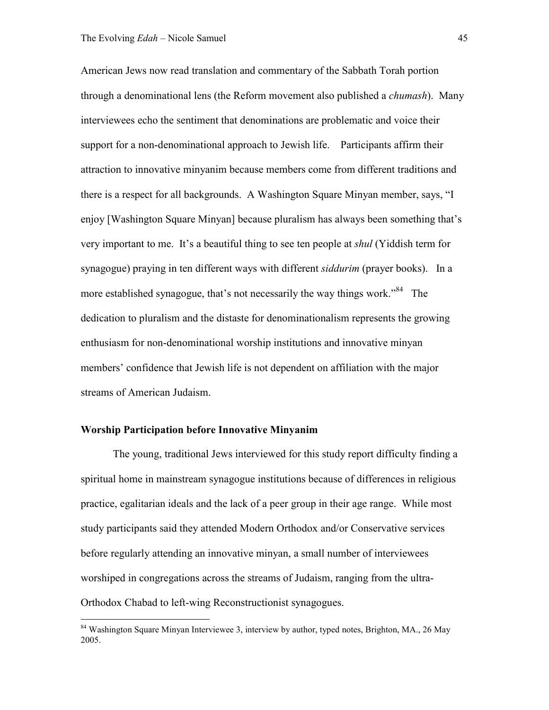American Jews now read translation and commentary of the Sabbath Torah portion through a denominational lens (the Reform movement also published a *chumash*). Many interviewees echo the sentiment that denominations are problematic and voice their support for a non-denominational approach to Jewish life. Participants affirm their attraction to innovative minyanim because members come from different traditions and there is a respect for all backgrounds. A Washington Square Minyan member, says, "I enjoy [Washington Square Minyan] because pluralism has always been something that's very important to me. It's a beautiful thing to see ten people at *shul* (Yiddish term for synagogue) praying in ten different ways with different *siddurim* (prayer books). In a more established synagogue, that's not necessarily the way things work.<sup>84</sup> The dedication to pluralism and the distaste for denominationalism represents the growing enthusiasm for non-denominational worship institutions and innovative minyan members' confidence that Jewish life is not dependent on affiliation with the major streams of American Judaism.

### **Worship Participation before Innovative Minyanim**

l

 The young, traditional Jews interviewed for this study report difficulty finding a spiritual home in mainstream synagogue institutions because of differences in religious practice, egalitarian ideals and the lack of a peer group in their age range. While most study participants said they attended Modern Orthodox and/or Conservative services before regularly attending an innovative minyan, a small number of interviewees worshiped in congregations across the streams of Judaism, ranging from the ultra-Orthodox Chabad to left-wing Reconstructionist synagogues.

<sup>&</sup>lt;sup>84</sup> Washington Square Minyan Interviewee 3, interview by author, typed notes, Brighton, MA., 26 May 2005.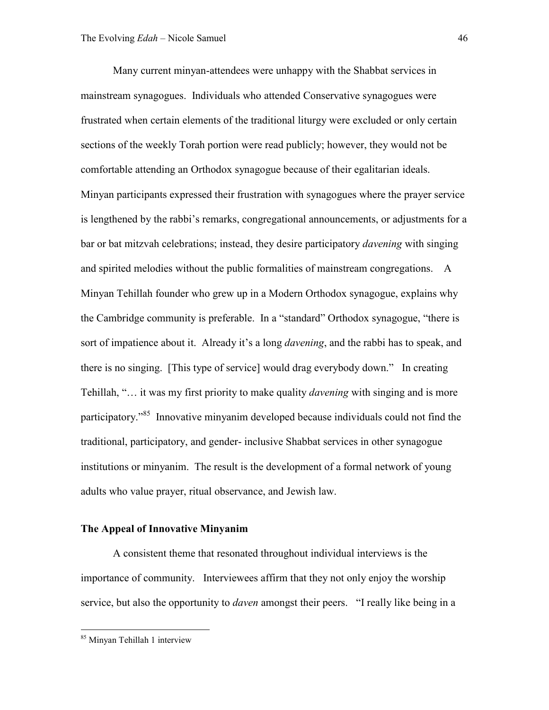Many current minyan-attendees were unhappy with the Shabbat services in mainstream synagogues. Individuals who attended Conservative synagogues were frustrated when certain elements of the traditional liturgy were excluded or only certain sections of the weekly Torah portion were read publicly; however, they would not be comfortable attending an Orthodox synagogue because of their egalitarian ideals. Minyan participants expressed their frustration with synagogues where the prayer service is lengthened by the rabbi's remarks, congregational announcements, or adjustments for a bar or bat mitzvah celebrations; instead, they desire participatory *davening* with singing and spirited melodies without the public formalities of mainstream congregations. A Minyan Tehillah founder who grew up in a Modern Orthodox synagogue, explains why the Cambridge community is preferable. In a "standard" Orthodox synagogue, "there is sort of impatience about it. Already it's a long *davening*, and the rabbi has to speak, and there is no singing. [This type of service] would drag everybody down." In creating Tehillah, "… it was my first priority to make quality *davening* with singing and is more participatory."<sup>85</sup> Innovative minyanim developed because individuals could not find the traditional, participatory, and gender- inclusive Shabbat services in other synagogue institutions or minyanim. The result is the development of a formal network of young adults who value prayer, ritual observance, and Jewish law.

## **The Appeal of Innovative Minyanim**

A consistent theme that resonated throughout individual interviews is the importance of community. Interviewees affirm that they not only enjoy the worship service, but also the opportunity to *daven* amongst their peers. "I really like being in a

<sup>85</sup> Minyan Tehillah 1 interview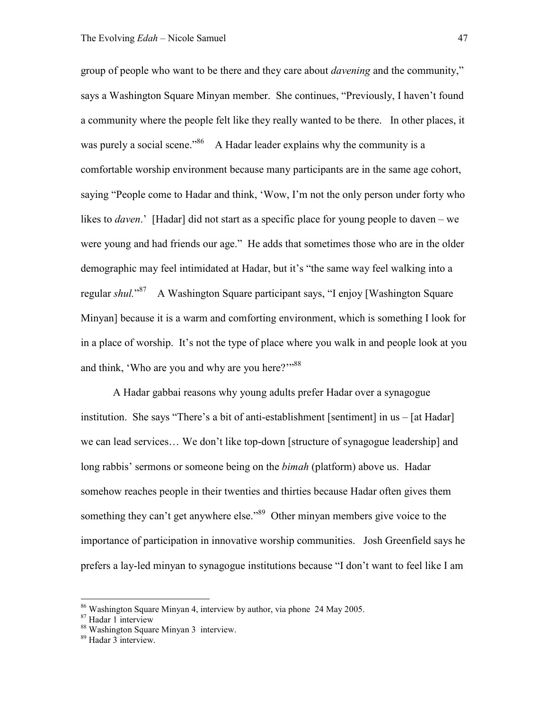group of people who want to be there and they care about *davening* and the community," says a Washington Square Minyan member. She continues, "Previously, I haven't found a community where the people felt like they really wanted to be there. In other places, it was purely a social scene."<sup>86</sup> A Hadar leader explains why the community is a comfortable worship environment because many participants are in the same age cohort, saying "People come to Hadar and think, 'Wow, I'm not the only person under forty who likes to *daven*.' [Hadar] did not start as a specific place for young people to daven – we were young and had friends our age." He adds that sometimes those who are in the older demographic may feel intimidated at Hadar, but it's "the same way feel walking into a regular *shul.*" <sup>87</sup> A Washington Square participant says, "I enjoy [Washington Square Minyan] because it is a warm and comforting environment, which is something I look for in a place of worship. It's not the type of place where you walk in and people look at you and think, 'Who are you and why are you here?'"<sup>88</sup>

A Hadar gabbai reasons why young adults prefer Hadar over a synagogue institution. She says "There's a bit of anti-establishment [sentiment] in us – [at Hadar] we can lead services… We don't like top-down [structure of synagogue leadership] and long rabbis' sermons or someone being on the *bimah* (platform) above us. Hadar somehow reaches people in their twenties and thirties because Hadar often gives them something they can't get anywhere else."<sup>89</sup> Other minyan members give voice to the importance of participation in innovative worship communities. Josh Greenfield says he prefers a lay-led minyan to synagogue institutions because "I don't want to feel like I am

<sup>86</sup> Washington Square Minyan 4, interview by author, via phone 24 May 2005.

<sup>&</sup>lt;sup>87</sup> Hadar 1 interview

<sup>88</sup> Washington Square Minyan 3 interview.

<sup>89</sup> Hadar 3 interview.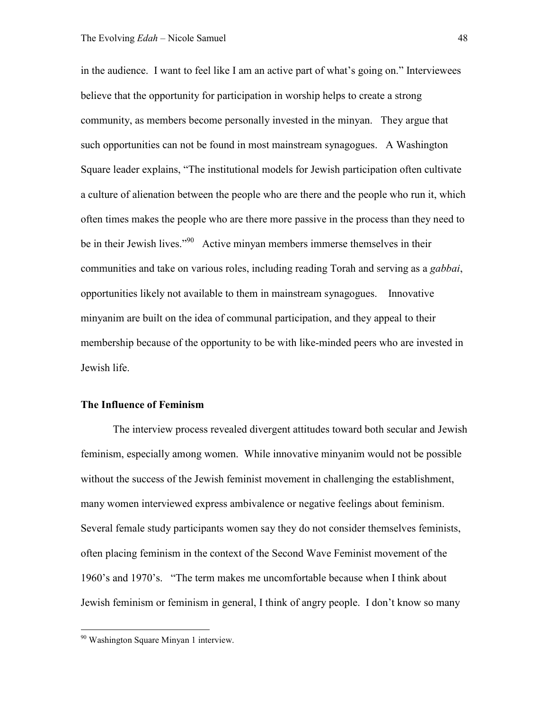in the audience. I want to feel like I am an active part of what's going on." Interviewees believe that the opportunity for participation in worship helps to create a strong community, as members become personally invested in the minyan. They argue that such opportunities can not be found in most mainstream synagogues. A Washington Square leader explains, "The institutional models for Jewish participation often cultivate a culture of alienation between the people who are there and the people who run it, which often times makes the people who are there more passive in the process than they need to be in their Jewish lives."<sup>90</sup> Active minyan members immerse themselves in their communities and take on various roles, including reading Torah and serving as a *gabbai*, opportunities likely not available to them in mainstream synagogues. Innovative minyanim are built on the idea of communal participation, and they appeal to their membership because of the opportunity to be with like-minded peers who are invested in Jewish life.

## **The Influence of Feminism**

The interview process revealed divergent attitudes toward both secular and Jewish feminism, especially among women. While innovative minyanim would not be possible without the success of the Jewish feminist movement in challenging the establishment, many women interviewed express ambivalence or negative feelings about feminism. Several female study participants women say they do not consider themselves feminists, often placing feminism in the context of the Second Wave Feminist movement of the 1960's and 1970's. "The term makes me uncomfortable because when I think about Jewish feminism or feminism in general, I think of angry people. I don't know so many

<sup>&</sup>lt;sup>90</sup> Washington Square Minyan 1 interview.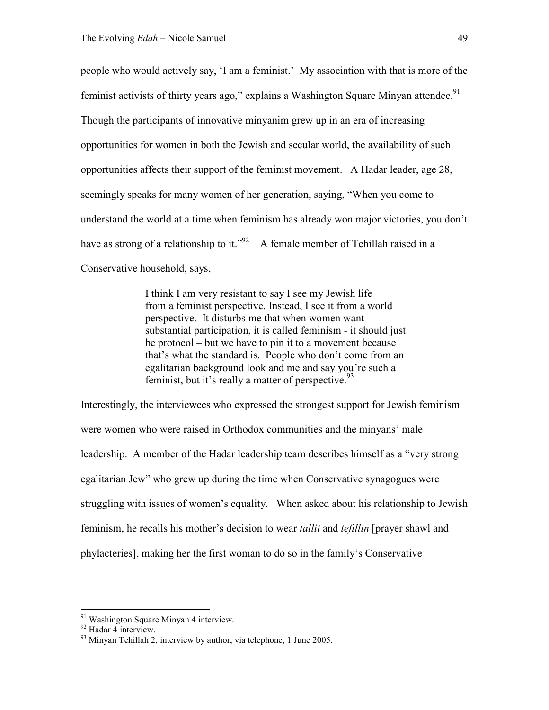people who would actively say, 'I am a feminist.' My association with that is more of the feminist activists of thirty years ago," explains a Washington Square Minyan attendee.<sup>91</sup> Though the participants of innovative minyanim grew up in an era of increasing opportunities for women in both the Jewish and secular world, the availability of such opportunities affects their support of the feminist movement. A Hadar leader, age 28, seemingly speaks for many women of her generation, saying, "When you come to understand the world at a time when feminism has already won major victories, you don't have as strong of a relationship to it."<sup>92</sup> A female member of Tehillah raised in a Conservative household, says,

> I think I am very resistant to say I see my Jewish life from a feminist perspective. Instead, I see it from a world perspective. It disturbs me that when women want substantial participation, it is called feminism - it should just be protocol – but we have to pin it to a movement because that's what the standard is. People who don't come from an egalitarian background look and me and say you're such a feminist, but it's really a matter of perspective.  $93$

Interestingly, the interviewees who expressed the strongest support for Jewish feminism were women who were raised in Orthodox communities and the minyans' male leadership. A member of the Hadar leadership team describes himself as a "very strong egalitarian Jew" who grew up during the time when Conservative synagogues were struggling with issues of women's equality. When asked about his relationship to Jewish feminism, he recalls his mother's decision to wear *tallit* and *tefillin* [prayer shawl and phylacteries], making her the first woman to do so in the family's Conservative

<sup>&</sup>lt;sup>91</sup> Washington Square Minyan 4 interview.

<sup>&</sup>lt;sup>92</sup> Hadar 4 interview.

<sup>&</sup>lt;sup>93</sup> Minyan Tehillah 2, interview by author, via telephone, 1 June 2005.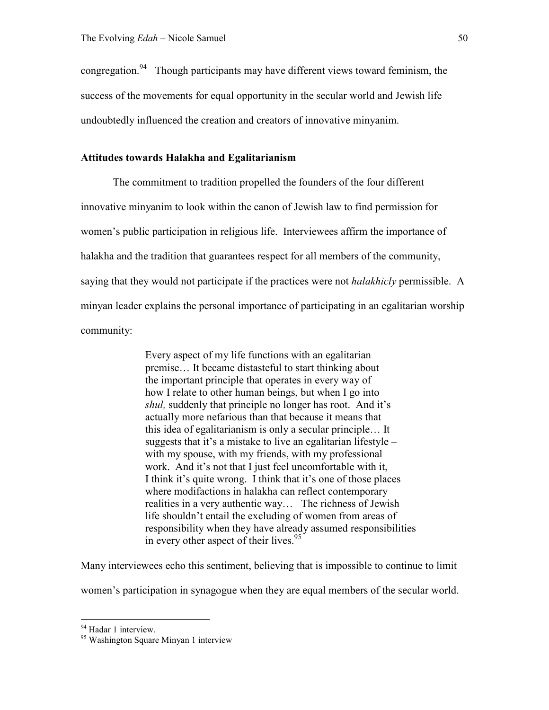congregation.<sup>94</sup> Though participants may have different views toward feminism, the success of the movements for equal opportunity in the secular world and Jewish life undoubtedly influenced the creation and creators of innovative minyanim.

# **Attitudes towards Halakha and Egalitarianism**

The commitment to tradition propelled the founders of the four different innovative minyanim to look within the canon of Jewish law to find permission for women's public participation in religious life. Interviewees affirm the importance of halakha and the tradition that guarantees respect for all members of the community, saying that they would not participate if the practices were not *halakhicly* permissible. A minyan leader explains the personal importance of participating in an egalitarian worship community:

> Every aspect of my life functions with an egalitarian premise… It became distasteful to start thinking about the important principle that operates in every way of how I relate to other human beings, but when I go into *shul,* suddenly that principle no longer has root. And it's actually more nefarious than that because it means that this idea of egalitarianism is only a secular principle… It suggests that it's a mistake to live an egalitarian lifestyle – with my spouse, with my friends, with my professional work. And it's not that I just feel uncomfortable with it, I think it's quite wrong. I think that it's one of those places where modifactions in halakha can reflect contemporary realities in a very authentic way… The richness of Jewish life shouldn't entail the excluding of women from areas of responsibility when they have already assumed responsibilities in every other aspect of their lives.  $95$

Many interviewees echo this sentiment, believing that is impossible to continue to limit women's participation in synagogue when they are equal members of the secular world.

l

<sup>&</sup>lt;sup>94</sup> Hadar 1 interview.

<sup>&</sup>lt;sup>95</sup> Washington Square Minyan 1 interview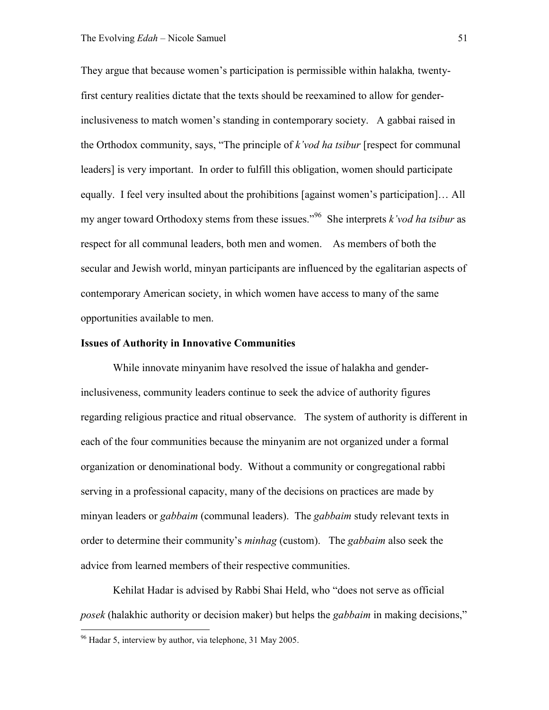They argue that because women's participation is permissible within halakha*,* twentyfirst century realities dictate that the texts should be reexamined to allow for genderinclusiveness to match women's standing in contemporary society. A gabbai raised in the Orthodox community, says, "The principle of *k'vod ha tsibur* [respect for communal leaders] is very important. In order to fulfill this obligation, women should participate equally. I feel very insulted about the prohibitions [against women's participation]… All my anger toward Orthodoxy stems from these issues."<sup>96</sup> She interprets *k'vod ha tsibur* as respect for all communal leaders, both men and women. As members of both the secular and Jewish world, minyan participants are influenced by the egalitarian aspects of contemporary American society, in which women have access to many of the same opportunities available to men.

### **Issues of Authority in Innovative Communities**

While innovate minyanim have resolved the issue of halakha and genderinclusiveness, community leaders continue to seek the advice of authority figures regarding religious practice and ritual observance. The system of authority is different in each of the four communities because the minyanim are not organized under a formal organization or denominational body. Without a community or congregational rabbi serving in a professional capacity, many of the decisions on practices are made by minyan leaders or *gabbaim* (communal leaders). The *gabbaim* study relevant texts in order to determine their community's *minhag* (custom). The *gabbaim* also seek the advice from learned members of their respective communities.

Kehilat Hadar is advised by Rabbi Shai Held, who "does not serve as official *posek* (halakhic authority or decision maker) but helps the *gabbaim* in making decisions,"

<sup>96</sup> Hadar 5, interview by author, via telephone, 31 May 2005.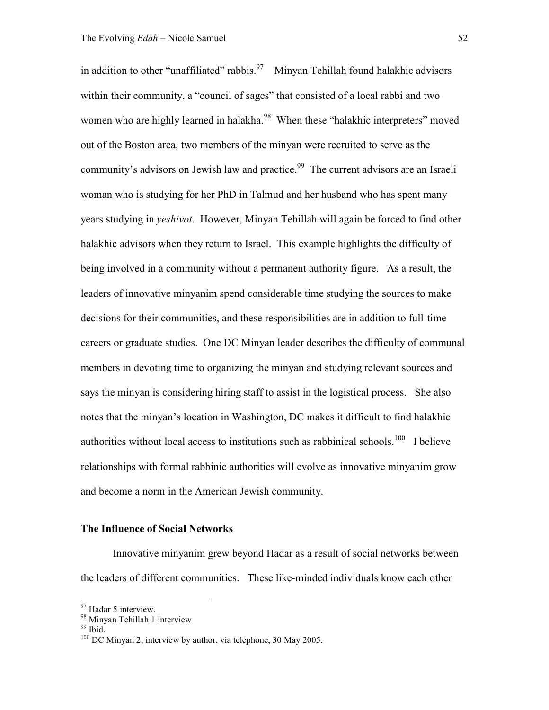in addition to other "unaffiliated" rabbis. $\frac{97}{10}$  Minyan Tehillah found halakhic advisors within their community, a "council of sages" that consisted of a local rabbi and two women who are highly learned in halakha.<sup>98</sup> When these "halakhic interpreters" moved out of the Boston area, two members of the minyan were recruited to serve as the community's advisors on Jewish law and practice.<sup>99</sup> The current advisors are an Israeli woman who is studying for her PhD in Talmud and her husband who has spent many years studying in *yeshivot*. However, Minyan Tehillah will again be forced to find other halakhic advisors when they return to Israel. This example highlights the difficulty of being involved in a community without a permanent authority figure. As a result, the leaders of innovative minyanim spend considerable time studying the sources to make decisions for their communities, and these responsibilities are in addition to full-time careers or graduate studies. One DC Minyan leader describes the difficulty of communal members in devoting time to organizing the minyan and studying relevant sources and says the minyan is considering hiring staff to assist in the logistical process. She also notes that the minyan's location in Washington, DC makes it difficult to find halakhic authorities without local access to institutions such as rabbinical schools.<sup>100</sup> I believe relationships with formal rabbinic authorities will evolve as innovative minyanim grow and become a norm in the American Jewish community.

## **The Influence of Social Networks**

Innovative minyanim grew beyond Hadar as a result of social networks between the leaders of different communities. These like-minded individuals know each other

<sup>97</sup> Hadar 5 interview.

<sup>98</sup> Minyan Tehillah 1 interview

<sup>&</sup>lt;sup>99</sup> Ibid.

<sup>&</sup>lt;sup>100</sup> DC Minyan 2, interview by author, via telephone, 30 May 2005.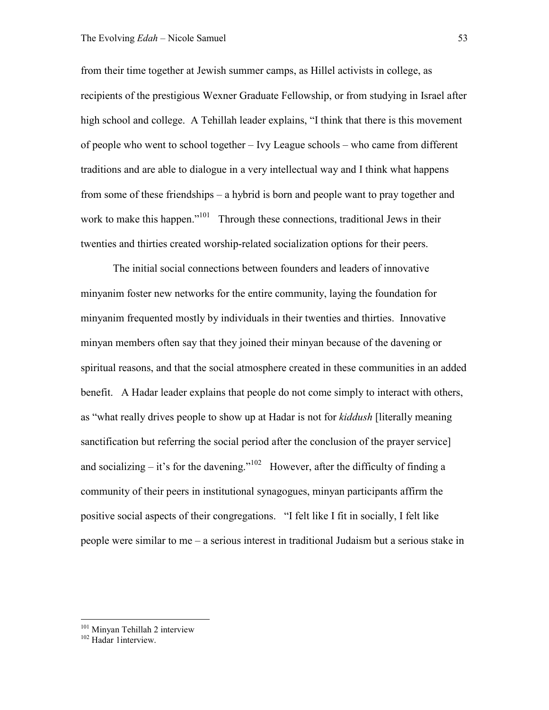from their time together at Jewish summer camps, as Hillel activists in college, as recipients of the prestigious Wexner Graduate Fellowship, or from studying in Israel after high school and college. A Tehillah leader explains, "I think that there is this movement of people who went to school together – Ivy League schools – who came from different traditions and are able to dialogue in a very intellectual way and I think what happens from some of these friendships – a hybrid is born and people want to pray together and work to make this happen."<sup>101</sup> Through these connections, traditional Jews in their twenties and thirties created worship-related socialization options for their peers.

The initial social connections between founders and leaders of innovative minyanim foster new networks for the entire community, laying the foundation for minyanim frequented mostly by individuals in their twenties and thirties. Innovative minyan members often say that they joined their minyan because of the davening or spiritual reasons, and that the social atmosphere created in these communities in an added benefit. A Hadar leader explains that people do not come simply to interact with others, as "what really drives people to show up at Hadar is not for *kiddush* [literally meaning sanctification but referring the social period after the conclusion of the prayer service] and socializing – it's for the davening."<sup>102</sup> However, after the difficulty of finding a community of their peers in institutional synagogues, minyan participants affirm the positive social aspects of their congregations. "I felt like I fit in socially, I felt like people were similar to me – a serious interest in traditional Judaism but a serious stake in

l

<sup>&</sup>lt;sup>101</sup> Minyan Tehillah 2 interview

<sup>&</sup>lt;sup>102</sup> Hadar 1 interview.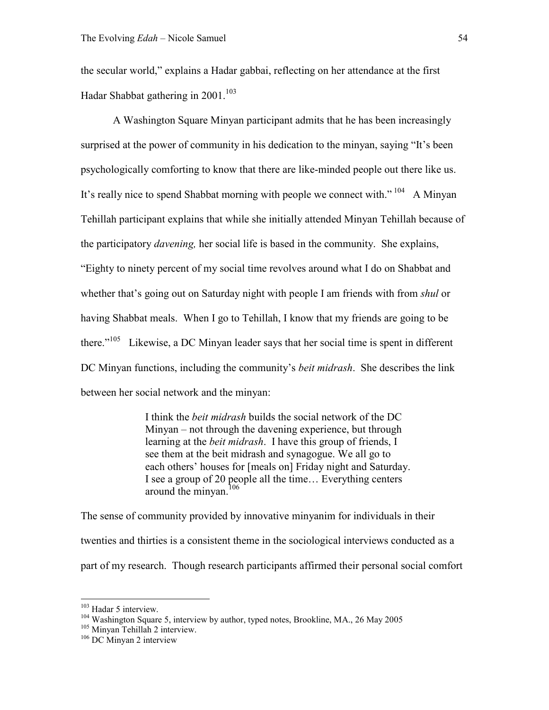the secular world," explains a Hadar gabbai, reflecting on her attendance at the first Hadar Shabbat gathering in 2001.<sup>103</sup>

A Washington Square Minyan participant admits that he has been increasingly surprised at the power of community in his dedication to the minyan, saying "It's been psychologically comforting to know that there are like-minded people out there like us. It's really nice to spend Shabbat morning with people we connect with."<sup>104</sup> A Minyan Tehillah participant explains that while she initially attended Minyan Tehillah because of the participatory *davening,* her social life is based in the community. She explains, "Eighty to ninety percent of my social time revolves around what I do on Shabbat and whether that's going out on Saturday night with people I am friends with from *shul* or having Shabbat meals. When I go to Tehillah, I know that my friends are going to be there."<sup>105</sup> Likewise, a DC Minyan leader says that her social time is spent in different DC Minyan functions, including the community's *beit midrash*. She describes the link between her social network and the minyan:

> I think the *beit midrash* builds the social network of the DC Minyan – not through the davening experience, but through learning at the *beit midrash*. I have this group of friends, I see them at the beit midrash and synagogue. We all go to each others' houses for [meals on] Friday night and Saturday. I see a group of 20 people all the time… Everything centers around the minyan.<sup>106</sup>

The sense of community provided by innovative minyanim for individuals in their twenties and thirties is a consistent theme in the sociological interviews conducted as a part of my research. Though research participants affirmed their personal social comfort

<sup>103</sup> Hadar 5 interview.

<sup>&</sup>lt;sup>104</sup> Washington Square 5, interview by author, typed notes, Brookline, MA., 26 May 2005

<sup>105</sup> Minyan Tehillah 2 interview.

<sup>106</sup> DC Minyan 2 interview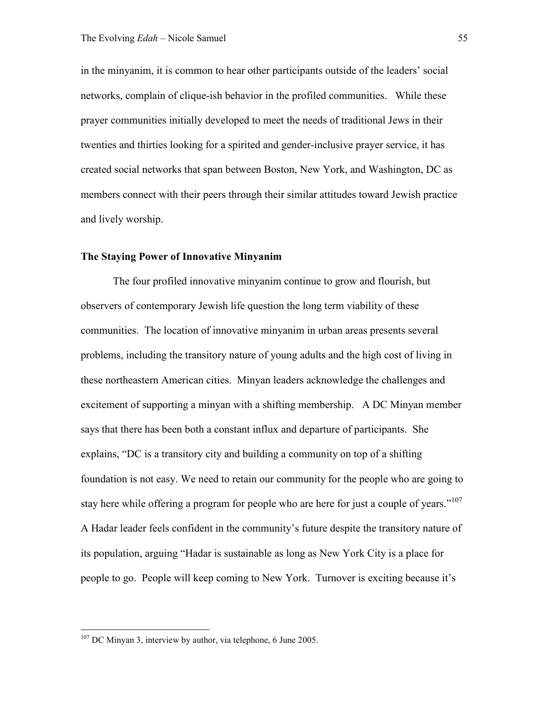in the minyanim, it is common to hear other participants outside of the leaders' social networks, complain of clique-ish behavior in the profiled communities. While these prayer communities initially developed to meet the needs of traditional Jews in their twenties and thirties looking for a spirited and gender-inclusive prayer service, it has created social networks that span between Boston, New York, and Washington, DC as members connect with their peers through their similar attitudes toward Jewish practice and lively worship.

## **The Staying Power of Innovative Minyanim**

The four profiled innovative minyanim continue to grow and flourish, but observers of contemporary Jewish life question the long term viability of these communities. The location of innovative minyanim in urban areas presents several problems, including the transitory nature of young adults and the high cost of living in these northeastern American cities. Minyan leaders acknowledge the challenges and excitement of supporting a minyan with a shifting membership. A DC Minyan member says that there has been both a constant influx and departure of participants. She explains, "DC is a transitory city and building a community on top of a shifting foundation is not easy. We need to retain our community for the people who are going to stay here while offering a program for people who are here for just a couple of years."<sup>107</sup> A Hadar leader feels confident in the community's future despite the transitory nature of its population, arguing "Hadar is sustainable as long as New York City is a place for people to go. People will keep coming to New York. Turnover is exciting because it's

<sup>&</sup>lt;sup>107</sup> DC Minyan 3, interview by author, via telephone, 6 June 2005.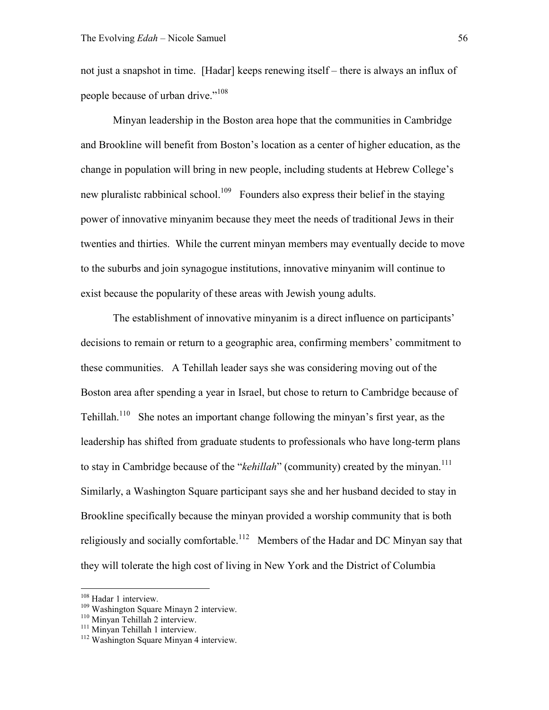not just a snapshot in time. [Hadar] keeps renewing itself – there is always an influx of people because of urban drive."<sup>108</sup>

Minyan leadership in the Boston area hope that the communities in Cambridge and Brookline will benefit from Boston's location as a center of higher education, as the change in population will bring in new people, including students at Hebrew College's new pluralistc rabbinical school.<sup>109</sup> Founders also express their belief in the staying power of innovative minyanim because they meet the needs of traditional Jews in their twenties and thirties. While the current minyan members may eventually decide to move to the suburbs and join synagogue institutions, innovative minyanim will continue to exist because the popularity of these areas with Jewish young adults.

 The establishment of innovative minyanim is a direct influence on participants' decisions to remain or return to a geographic area, confirming members' commitment to these communities. A Tehillah leader says she was considering moving out of the Boston area after spending a year in Israel, but chose to return to Cambridge because of Tehillah.<sup>110</sup> She notes an important change following the minyan's first year, as the leadership has shifted from graduate students to professionals who have long-term plans to stay in Cambridge because of the "*kehillah*" (community) created by the minyan.<sup>111</sup> Similarly, a Washington Square participant says she and her husband decided to stay in Brookline specifically because the minyan provided a worship community that is both religiously and socially comfortable.<sup>112</sup> Members of the Hadar and DC Minyan say that they will tolerate the high cost of living in New York and the District of Columbia

<sup>&</sup>lt;sup>108</sup> Hadar 1 interview.

<sup>&</sup>lt;sup>109</sup> Washington Square Minayn 2 interview.

<sup>110</sup> Minyan Tehillah 2 interview.

<sup>&</sup>lt;sup>111</sup> Minyan Tehillah 1 interview.

<sup>&</sup>lt;sup>112</sup> Washington Square Minyan 4 interview.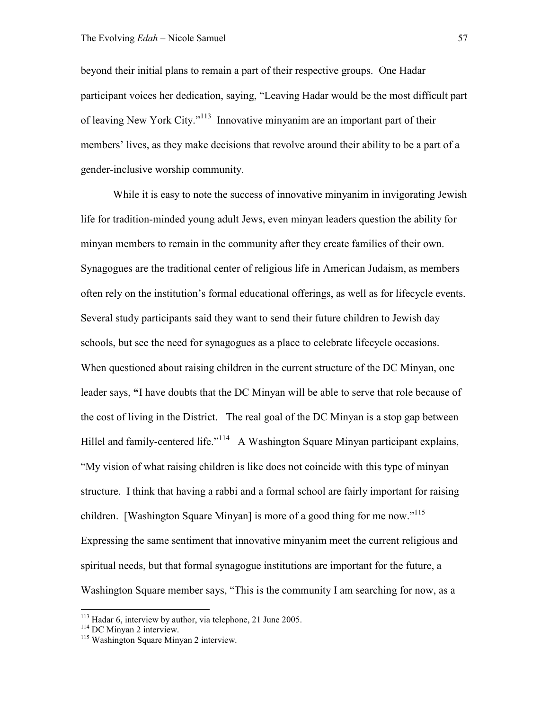beyond their initial plans to remain a part of their respective groups. One Hadar participant voices her dedication, saying, "Leaving Hadar would be the most difficult part of leaving New York City."<sup>113</sup> Innovative minyanim are an important part of their members' lives, as they make decisions that revolve around their ability to be a part of a gender-inclusive worship community.

While it is easy to note the success of innovative minyanim in invigorating Jewish life for tradition-minded young adult Jews, even minyan leaders question the ability for minyan members to remain in the community after they create families of their own. Synagogues are the traditional center of religious life in American Judaism, as members often rely on the institution's formal educational offerings, as well as for lifecycle events. Several study participants said they want to send their future children to Jewish day schools, but see the need for synagogues as a place to celebrate lifecycle occasions. When questioned about raising children in the current structure of the DC Minyan, one leader says, **"**I have doubts that the DC Minyan will be able to serve that role because of the cost of living in the District. The real goal of the DC Minyan is a stop gap between Hillel and family-centered life."<sup>114</sup> A Washington Square Minyan participant explains, "My vision of what raising children is like does not coincide with this type of minyan structure. I think that having a rabbi and a formal school are fairly important for raising children. [Washington Square Minyan] is more of a good thing for me now."<sup>115</sup> Expressing the same sentiment that innovative minyanim meet the current religious and spiritual needs, but that formal synagogue institutions are important for the future, a Washington Square member says, "This is the community I am searching for now, as a

<sup>&</sup>lt;sup>113</sup> Hadar 6, interview by author, via telephone, 21 June 2005.

<sup>&</sup>lt;sup>114</sup> DC Minyan 2 interview.

<sup>&</sup>lt;sup>115</sup> Washington Square Minyan 2 interview.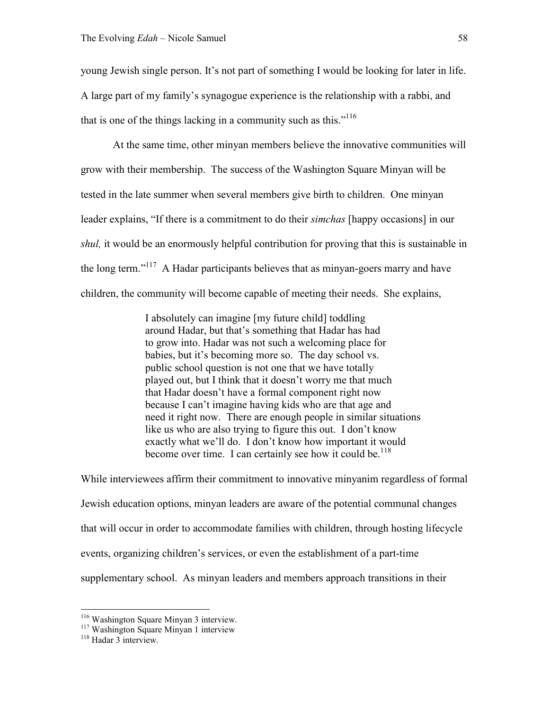young Jewish single person. It's not part of something I would be looking for later in life. A large part of my family's synagogue experience is the relationship with a rabbi, and that is one of the things lacking in a community such as this."<sup>116</sup>

At the same time, other minyan members believe the innovative communities will grow with their membership. The success of the Washington Square Minyan will be tested in the late summer when several members give birth to children. One minyan leader explains, "If there is a commitment to do their *simchas* [happy occasions] in our *shul,* it would be an enormously helpful contribution for proving that this is sustainable in the long term."<sup>117</sup> A Hadar participants believes that as minyan-goers marry and have children, the community will become capable of meeting their needs. She explains,

> I absolutely can imagine [my future child] toddling around Hadar, but that's something that Hadar has had to grow into. Hadar was not such a welcoming place for babies, but it's becoming more so. The day school vs. public school question is not one that we have totally played out, but I think that it doesn't worry me that much that Hadar doesn't have a formal component right now because I can't imagine having kids who are that age and need it right now. There are enough people in similar situations like us who are also trying to figure this out. I don't know exactly what we'll do. I don't know how important it would become over time. I can certainly see how it could be.<sup>118</sup>

While interviewees affirm their commitment to innovative minyanim regardless of formal Jewish education options, minyan leaders are aware of the potential communal changes that will occur in order to accommodate families with children, through hosting lifecycle events, organizing children's services, or even the establishment of a part-time supplementary school. As minyan leaders and members approach transitions in their

<sup>&</sup>lt;sup>116</sup> Washington Square Minyan 3 interview.

<sup>&</sup>lt;sup>117</sup> Washington Square Minyan 1 interview

<sup>&</sup>lt;sup>118</sup> Hadar 3 interview.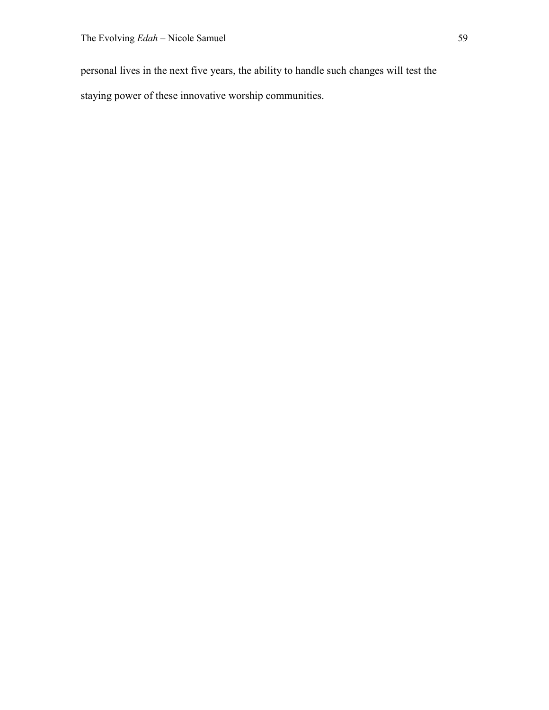personal lives in the next five years, the ability to handle such changes will test the

staying power of these innovative worship communities.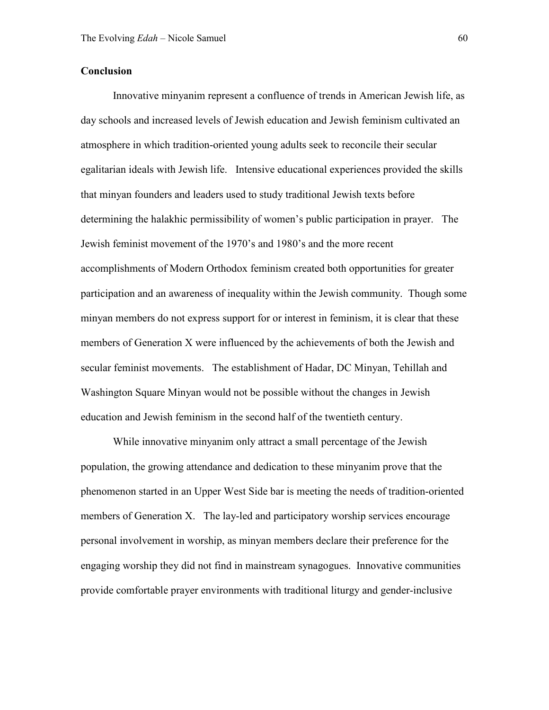## **Conclusion**

Innovative minyanim represent a confluence of trends in American Jewish life, as day schools and increased levels of Jewish education and Jewish feminism cultivated an atmosphere in which tradition-oriented young adults seek to reconcile their secular egalitarian ideals with Jewish life. Intensive educational experiences provided the skills that minyan founders and leaders used to study traditional Jewish texts before determining the halakhic permissibility of women's public participation in prayer. The Jewish feminist movement of the 1970's and 1980's and the more recent accomplishments of Modern Orthodox feminism created both opportunities for greater participation and an awareness of inequality within the Jewish community. Though some minyan members do not express support for or interest in feminism, it is clear that these members of Generation X were influenced by the achievements of both the Jewish and secular feminist movements. The establishment of Hadar, DC Minyan, Tehillah and Washington Square Minyan would not be possible without the changes in Jewish education and Jewish feminism in the second half of the twentieth century.

While innovative minyanim only attract a small percentage of the Jewish population, the growing attendance and dedication to these minyanim prove that the phenomenon started in an Upper West Side bar is meeting the needs of tradition-oriented members of Generation X. The lay-led and participatory worship services encourage personal involvement in worship, as minyan members declare their preference for the engaging worship they did not find in mainstream synagogues. Innovative communities provide comfortable prayer environments with traditional liturgy and gender-inclusive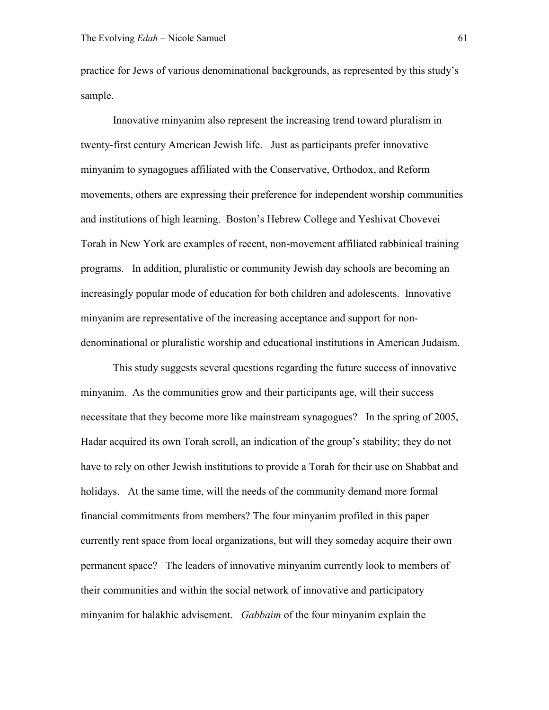practice for Jews of various denominational backgrounds, as represented by this study's sample.

Innovative minyanim also represent the increasing trend toward pluralism in twenty-first century American Jewish life. Just as participants prefer innovative minyanim to synagogues affiliated with the Conservative, Orthodox, and Reform movements, others are expressing their preference for independent worship communities and institutions of high learning. Boston's Hebrew College and Yeshivat Chovevei Torah in New York are examples of recent, non-movement affiliated rabbinical training programs. In addition, pluralistic or community Jewish day schools are becoming an increasingly popular mode of education for both children and adolescents. Innovative minyanim are representative of the increasing acceptance and support for nondenominational or pluralistic worship and educational institutions in American Judaism.

This study suggests several questions regarding the future success of innovative minyanim. As the communities grow and their participants age, will their success necessitate that they become more like mainstream synagogues? In the spring of 2005, Hadar acquired its own Torah scroll, an indication of the group's stability; they do not have to rely on other Jewish institutions to provide a Torah for their use on Shabbat and holidays. At the same time, will the needs of the community demand more formal financial commitments from members? The four minyanim profiled in this paper currently rent space from local organizations, but will they someday acquire their own permanent space? The leaders of innovative minyanim currently look to members of their communities and within the social network of innovative and participatory minyanim for halakhic advisement. *Gabbaim* of the four minyanim explain the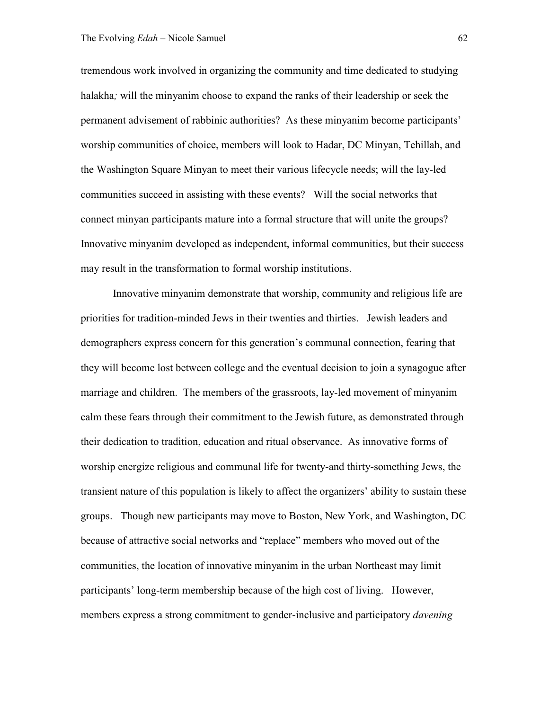tremendous work involved in organizing the community and time dedicated to studying halakha*;* will the minyanim choose to expand the ranks of their leadership or seek the permanent advisement of rabbinic authorities? As these minyanim become participants' worship communities of choice, members will look to Hadar, DC Minyan, Tehillah, and the Washington Square Minyan to meet their various lifecycle needs; will the lay-led communities succeed in assisting with these events? Will the social networks that connect minyan participants mature into a formal structure that will unite the groups? Innovative minyanim developed as independent, informal communities, but their success may result in the transformation to formal worship institutions.

Innovative minyanim demonstrate that worship, community and religious life are priorities for tradition-minded Jews in their twenties and thirties. Jewish leaders and demographers express concern for this generation's communal connection, fearing that they will become lost between college and the eventual decision to join a synagogue after marriage and children. The members of the grassroots, lay-led movement of minyanim calm these fears through their commitment to the Jewish future, as demonstrated through their dedication to tradition, education and ritual observance. As innovative forms of worship energize religious and communal life for twenty-and thirty-something Jews, the transient nature of this population is likely to affect the organizers' ability to sustain these groups. Though new participants may move to Boston, New York, and Washington, DC because of attractive social networks and "replace" members who moved out of the communities, the location of innovative minyanim in the urban Northeast may limit participants' long-term membership because of the high cost of living. However, members express a strong commitment to gender-inclusive and participatory *davening*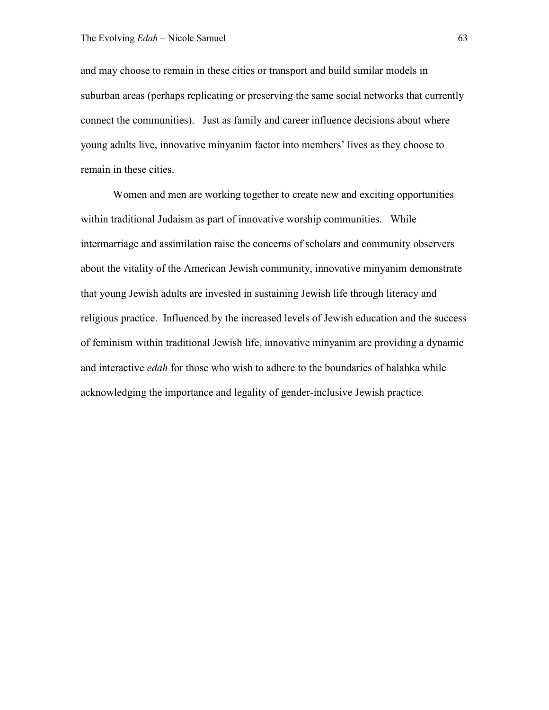and may choose to remain in these cities or transport and build similar models in suburban areas (perhaps replicating or preserving the same social networks that currently connect the communities). Just as family and career influence decisions about where young adults live, innovative minyanim factor into members' lives as they choose to remain in these cities.

Women and men are working together to create new and exciting opportunities within traditional Judaism as part of innovative worship communities. While intermarriage and assimilation raise the concerns of scholars and community observers about the vitality of the American Jewish community, innovative minyanim demonstrate that young Jewish adults are invested in sustaining Jewish life through literacy and religious practice. Influenced by the increased levels of Jewish education and the success of feminism within traditional Jewish life, innovative minyanim are providing a dynamic and interactive *edah* for those who wish to adhere to the boundaries of halahka while acknowledging the importance and legality of gender-inclusive Jewish practice.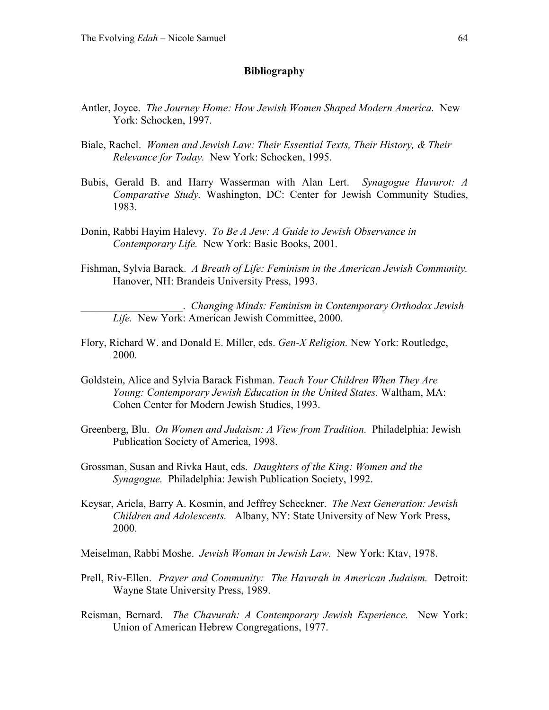## **Bibliography**

- Antler, Joyce. *The Journey Home: How Jewish Women Shaped Modern America.* New York: Schocken, 1997.
- Biale, Rachel. *Women and Jewish Law: Their Essential Texts, Their History, & Their Relevance for Today.* New York: Schocken, 1995.
- Bubis, Gerald B. and Harry Wasserman with Alan Lert. *Synagogue Havurot: A Comparative Study.* Washington, DC: Center for Jewish Community Studies, 1983.
- Donin, Rabbi Hayim Halevy. *To Be A Jew: A Guide to Jewish Observance in Contemporary Life.* New York: Basic Books, 2001.
- Fishman, Sylvia Barack. *A Breath of Life: Feminism in the American Jewish Community.*  Hanover, NH: Brandeis University Press, 1993.

\_\_\_\_\_\_\_\_\_\_\_\_\_\_\_\_\_\_\_. *Changing Minds: Feminism in Contemporary Orthodox Jewish Life.* New York: American Jewish Committee, 2000.

- Flory, Richard W. and Donald E. Miller, eds. *Gen-X Religion.* New York: Routledge, 2000.
- Goldstein, Alice and Sylvia Barack Fishman. *Teach Your Children When They Are Young: Contemporary Jewish Education in the United States.* Waltham, MA: Cohen Center for Modern Jewish Studies, 1993.
- Greenberg, Blu. *On Women and Judaism: A View from Tradition.* Philadelphia: Jewish Publication Society of America, 1998.
- Grossman, Susan and Rivka Haut, eds. *Daughters of the King: Women and the Synagogue.* Philadelphia: Jewish Publication Society, 1992.
- Keysar, Ariela, Barry A. Kosmin, and Jeffrey Scheckner. *The Next Generation: Jewish Children and Adolescents.* Albany, NY: State University of New York Press, 2000.

Meiselman, Rabbi Moshe. *Jewish Woman in Jewish Law.* New York: Ktav, 1978.

- Prell, Riv-Ellen. *Prayer and Community: The Havurah in American Judaism.* Detroit: Wayne State University Press, 1989.
- Reisman, Bernard. *The Chavurah: A Contemporary Jewish Experience.* New York: Union of American Hebrew Congregations, 1977.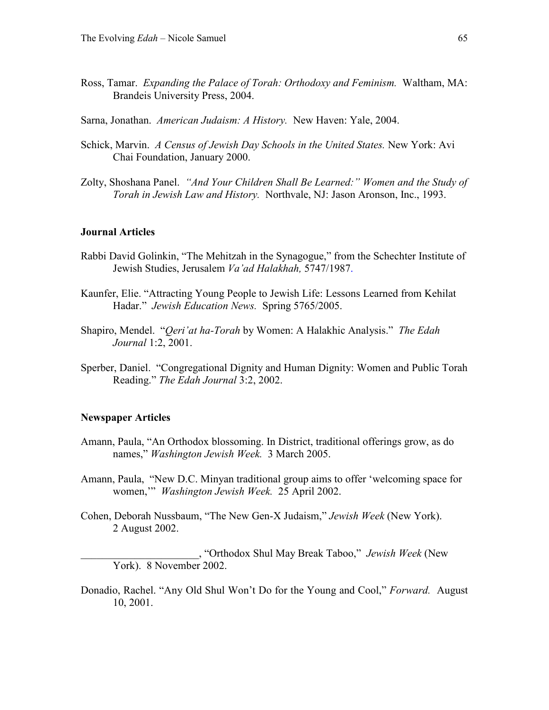- Ross, Tamar. *Expanding the Palace of Torah: Orthodoxy and Feminism.* Waltham, MA: Brandeis University Press, 2004.
- Sarna, Jonathan. *American Judaism: A History.* New Haven: Yale, 2004.
- Schick, Marvin. *A Census of Jewish Day Schools in the United States.* New York: Avi Chai Foundation, January 2000.
- Zolty, Shoshana Panel. *"And Your Children Shall Be Learned:" Women and the Study of Torah in Jewish Law and History.* Northvale, NJ: Jason Aronson, Inc., 1993.

### **Journal Articles**

- Rabbi David Golinkin, "The Mehitzah in the Synagogue," from the Schechter Institute of Jewish Studies, Jerusalem *Va'ad Halakhah,* 5747/1987.
- Kaunfer, Elie. "Attracting Young People to Jewish Life: Lessons Learned from Kehilat Hadar." *Jewish Education News.* Spring 5765/2005.
- Shapiro, Mendel. "*Qeri'at ha-Torah* by Women: A Halakhic Analysis." *The Edah Journal* 1:2, 2001.
- Sperber, Daniel. "Congregational Dignity and Human Dignity: Women and Public Torah Reading." *The Edah Journal* 3:2, 2002.

#### **Newspaper Articles**

- Amann, Paula, "An Orthodox blossoming. In District, traditional offerings grow, as do names," *Washington Jewish Week.* 3 March 2005.
- Amann, Paula, "New D.C. Minyan traditional group aims to offer 'welcoming space for women,'" *Washington Jewish Week.* 25 April 2002.
- Cohen, Deborah Nussbaum, "The New Gen-X Judaism," *Jewish Week* (New York). 2 August 2002.

\_\_\_\_\_\_\_\_\_\_\_\_\_\_\_\_\_\_\_\_\_\_, "Orthodox Shul May Break Taboo," *Jewish Week* (New York). 8 November 2002.

Donadio, Rachel. "Any Old Shul Won't Do for the Young and Cool," *Forward.* August 10, 2001.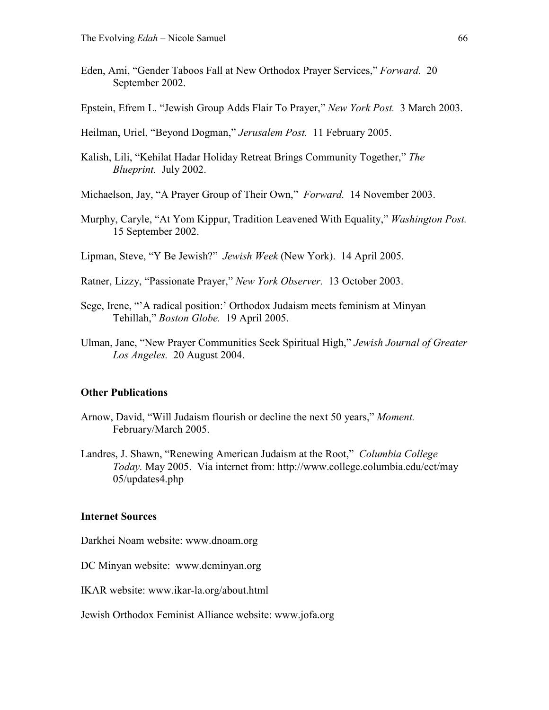- Eden, Ami, "Gender Taboos Fall at New Orthodox Prayer Services," *Forward.* 20 September 2002.
- Epstein, Efrem L. "Jewish Group Adds Flair To Prayer," *New York Post.* 3 March 2003.
- Heilman, Uriel, "Beyond Dogman," *Jerusalem Post.* 11 February 2005.
- Kalish, Lili, "Kehilat Hadar Holiday Retreat Brings Community Together," *The Blueprint.* July 2002.

Michaelson, Jay, "A Prayer Group of Their Own," *Forward.* 14 November 2003.

- Murphy, Caryle, "At Yom Kippur, Tradition Leavened With Equality," *Washington Post.*  15 September 2002.
- Lipman, Steve, "Y Be Jewish?" *Jewish Week* (New York). 14 April 2005.
- Ratner, Lizzy, "Passionate Prayer," *New York Observer.* 13 October 2003.
- Sege, Irene, "'A radical position:' Orthodox Judaism meets feminism at Minyan Tehillah," *Boston Globe.* 19 April 2005.
- Ulman, Jane, "New Prayer Communities Seek Spiritual High," *Jewish Journal of Greater Los Angeles.* 20 August 2004.

#### **Other Publications**

- Arnow, David, "Will Judaism flourish or decline the next 50 years," *Moment.*  February/March 2005.
- Landres, J. Shawn, "Renewing American Judaism at the Root," *Columbia College Today.* May 2005. Via internet from: http://www.college.columbia.edu/cct/may 05/updates4.php

## **Internet Sources**

Darkhei Noam website: www.dnoam.org

DC Minyan website: www.dcminyan.org

IKAR website: www.ikar-la.org/about.html

Jewish Orthodox Feminist Alliance website: www.jofa.org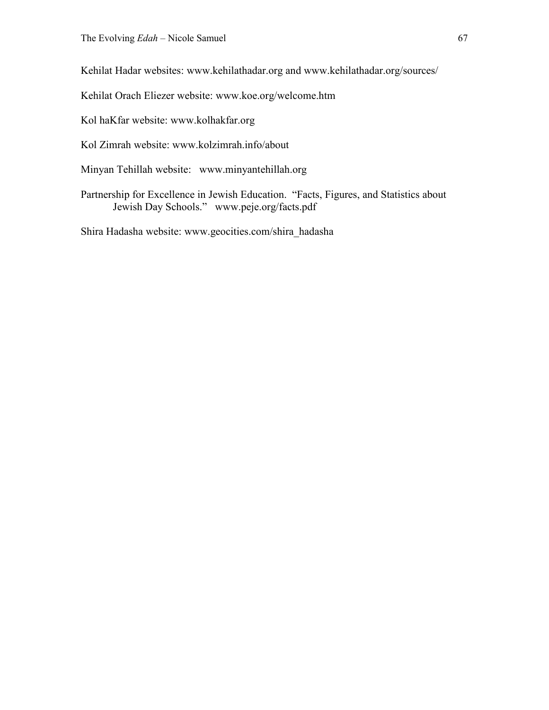Kehilat Hadar websites: www.kehilathadar.org and www.kehilathadar.org/sources/

Kehilat Orach Eliezer website: www.koe.org/welcome.htm

Kol haKfar website: www.kolhakfar.org

Kol Zimrah website: www.kolzimrah.info/about

Minyan Tehillah website: www.minyantehillah.org

Partnership for Excellence in Jewish Education. "Facts, Figures, and Statistics about Jewish Day Schools." www.peje.org/facts.pdf

Shira Hadasha website: www.geocities.com/shira\_hadasha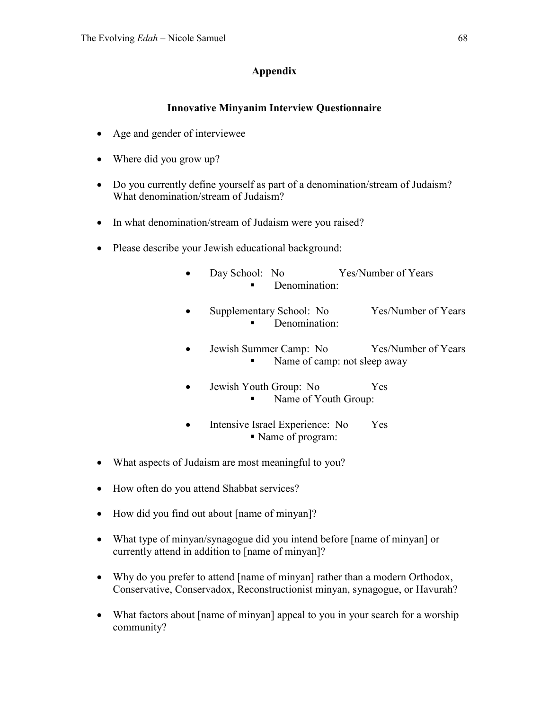# **Appendix**

# **Innovative Minyanim Interview Questionnaire**

- Age and gender of interviewee
- Where did you grow up?
- Do you currently define yourself as part of a denomination/stream of Judaism? What denomination/stream of Judaism?
- In what denomination/stream of Judaism were you raised?
- Please describe your Jewish educational background:
	- Day School: No Yes/Number of Years Denomination:
	- Supplementary School: No Yes/Number of Years Denomination:
	- Jewish Summer Camp: No Yes/Number of Years Name of camp: not sleep away
	- Jewish Youth Group: No Yes Name of Youth Group:
	- Intensive Israel Experience: No Yes Name of program:
- What aspects of Judaism are most meaningful to you?
- How often do you attend Shabbat services?
- How did you find out about [name of minyan]?
- What type of minyan/synagogue did you intend before [name of minyan] or currently attend in addition to [name of minyan]?
- Why do you prefer to attend [name of minyan] rather than a modern Orthodox, Conservative, Conservadox, Reconstructionist minyan, synagogue, or Havurah?
- What factors about [name of minyan] appeal to you in your search for a worship community?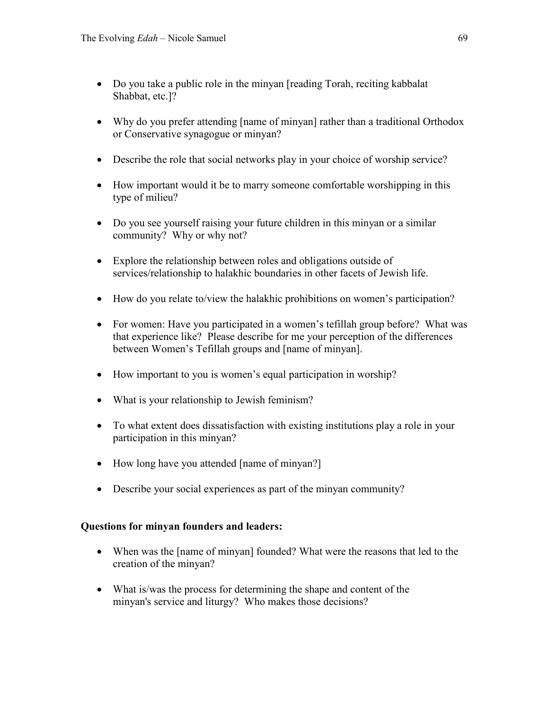- Do you take a public role in the minyan [reading Torah, reciting kabbalat] Shabbat, etc.]?
- Why do you prefer attending [name of minyan] rather than a traditional Orthodox or Conservative synagogue or minyan?
- Describe the role that social networks play in your choice of worship service?
- How important would it be to marry someone comfortable worshipping in this type of milieu?
- Do you see yourself raising your future children in this minyan or a similar community? Why or why not?
- Explore the relationship between roles and obligations outside of services/relationship to halakhic boundaries in other facets of Jewish life.
- How do you relate to/view the halakhic prohibitions on women's participation?
- For women: Have you participated in a women's tefillah group before? What was that experience like? Please describe for me your perception of the differences between Women's Tefillah groups and [name of minyan].
- How important to you is women's equal participation in worship?
- What is your relationship to Jewish feminism?
- To what extent does dissatisfaction with existing institutions play a role in your participation in this minyan?
- How long have you attended [name of minyan?]
- Describe your social experiences as part of the minyan community?

# **Questions for minyan founders and leaders:**

- When was the [name of minyan] founded? What were the reasons that led to the creation of the minyan?
- What is/was the process for determining the shape and content of the minyan's service and liturgy? Who makes those decisions?